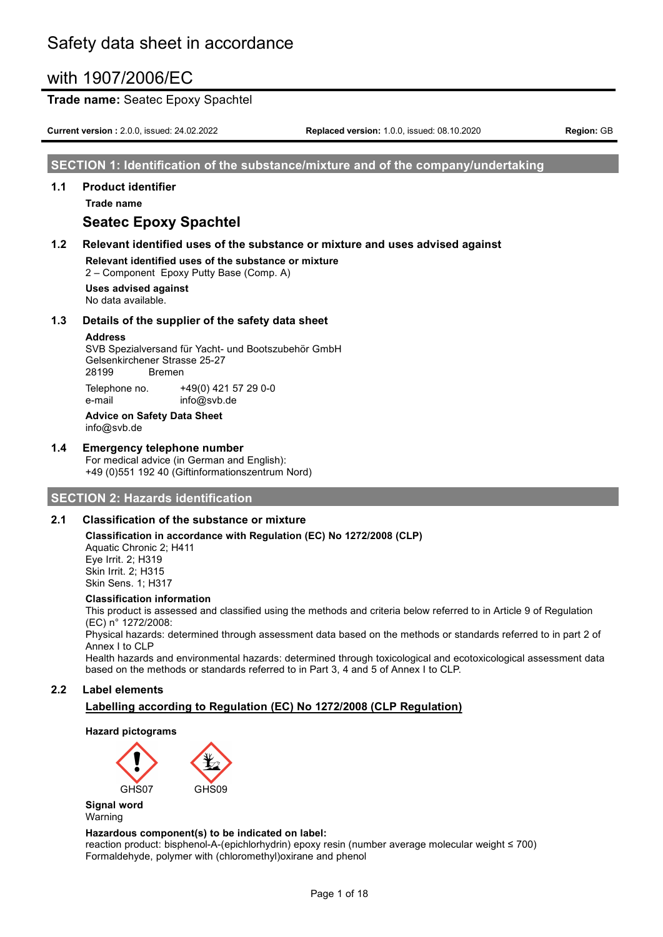### **Trade name:** Seatec Epoxy Spachtel

**Current version :** 2.0.0, issued: 24.02.2022 **Replaced version:** 1.0.0, issued: 08.10.2020 **Region:** GB

#### **SECTION 1: Identification of the substance/mixture and of the company/undertaking**

#### **1.1 Product identifier**

**Trade name**

# **Seatec Epoxy Spachtel**

#### **1.2 Relevant identified uses of the substance or mixture and uses advised against**

**Relevant identified uses of the substance or mixture** 2 – Component Epoxy Putty Base (Comp. A)

**Uses advised against** No data available.

#### **1.3 Details of the supplier of the safety data sheet**

#### **Address**

SVB Spezialversand für Yacht- und Bootszubehör GmbH Gelsenkirchener Strasse 25-27 28199 Bremen Telephone no. +49(0) 421 57 29 0-0

e-mail info@svb.de **Advice on Safety Data Sheet** info@svb.de

# **1.4 Emergency telephone number**

For medical advice (in German and English): +49 (0)551 192 40 (Giftinformationszentrum Nord)

#### **SECTION 2: Hazards identification**

#### **2.1 Classification of the substance or mixture**

**Classification in accordance with Regulation (EC) No 1272/2008 (CLP)** Aquatic Chronic 2; H411 Eye Irrit. 2; H319 Skin Irrit. 2; H315 Skin Sens. 1; H317

#### **Classification information**

This product is assessed and classified using the methods and criteria below referred to in Article 9 of Regulation (EC) n° 1272/2008:

Physical hazards: determined through assessment data based on the methods or standards referred to in part 2 of Annex I to CLP

Health hazards and environmental hazards: determined through toxicological and ecotoxicological assessment data based on the methods or standards referred to in Part 3, 4 and 5 of Annex I to CLP.

#### **2.2 Label elements**

### **Labelling according to Regulation (EC) No 1272/2008 (CLP Regulation)**

#### **Hazard pictograms**



**Signal word** Warning

#### **Hazardous component(s) to be indicated on label:**

reaction product: bisphenol-A-(epichlorhydrin) epoxy resin (number average molecular weight ≤ 700) Formaldehyde, polymer with (chloromethyl)oxirane and phenol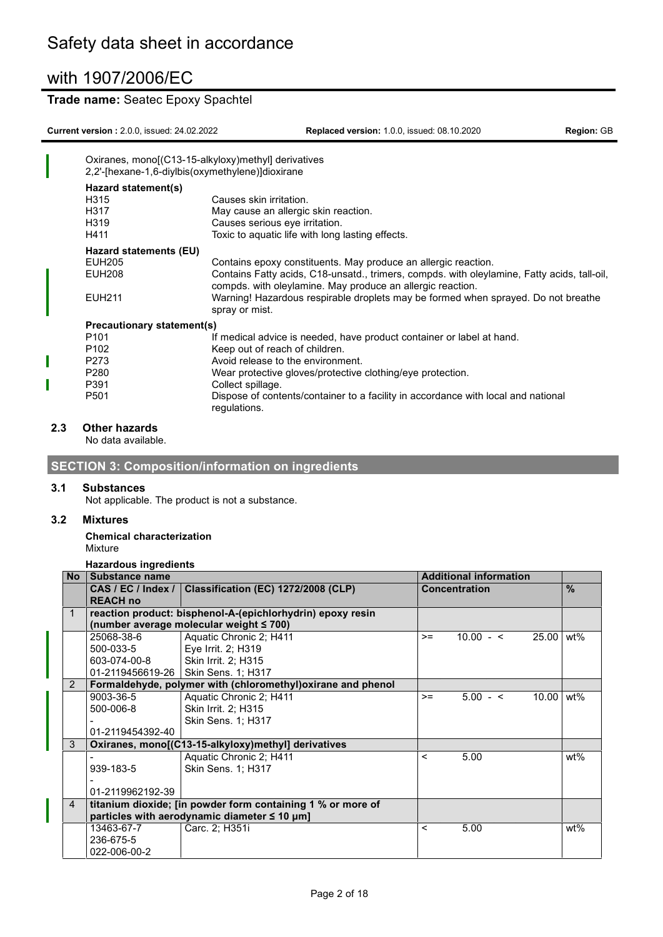### **Trade name:** Seatec Epoxy Spachtel

**Current version :** 2.0.0, issued: 24.02.2022 **Replaced version:** 1.0.0, issued: 08.10.2020 **Region:** GB

|                            | Oxiranes, mono[(C13-15-alkyloxy)methyl] derivatives<br>2,2'-[hexane-1,6-diylbis(oxymethylene)]dioxirane                                                  |
|----------------------------|----------------------------------------------------------------------------------------------------------------------------------------------------------|
| Hazard statement(s)        |                                                                                                                                                          |
| H315                       | Causes skin irritation.                                                                                                                                  |
| H317                       | May cause an allergic skin reaction.                                                                                                                     |
| H319                       | Causes serious eye irritation.                                                                                                                           |
| H411                       | Toxic to aquatic life with long lasting effects.                                                                                                         |
| Hazard statements (EU)     |                                                                                                                                                          |
| <b>EUH205</b>              | Contains epoxy constituents. May produce an allergic reaction.                                                                                           |
| <b>EUH208</b>              | Contains Fatty acids, C18-unsatd., trimers, compds. with oleylamine, Fatty acids, tall-oil<br>compds. with oleylamine. May produce an allergic reaction. |
| <b>EUH211</b>              | Warning! Hazardous respirable droplets may be formed when sprayed. Do not breathe<br>spray or mist.                                                      |
| Precautionary statement(s) |                                                                                                                                                          |
| P <sub>101</sub>           | If medical advice is needed, have product container or label at hand.                                                                                    |
| P <sub>102</sub>           | Keep out of reach of children.                                                                                                                           |
| P <sub>273</sub>           | Avoid release to the environment.                                                                                                                        |
| P <sub>280</sub>           | Wear protective gloves/protective clothing/eye protection.                                                                                               |
| P391                       | Collect spillage.                                                                                                                                        |
| P <sub>501</sub>           | Dispose of contents/container to a facility in accordance with local and national<br>regulations.                                                        |

#### **2.3 Other hazards**

No data available.

**SECTION 3: Composition/information on ingredients**

#### **3.1 Substances**

Not applicable. The product is not a substance.

#### **3.2 Mixtures**

**Chemical characterization** Mixture

#### **Hazardous ingredients**

| <b>No</b>      | Substance name     |                                                              | <b>Additional information</b> |                      |       |                   |
|----------------|--------------------|--------------------------------------------------------------|-------------------------------|----------------------|-------|-------------------|
|                | CAS / EC / Index / | Classification (EC) 1272/2008 (CLP)                          |                               | <b>Concentration</b> |       | $\frac{0}{0}$     |
|                | <b>REACH no</b>    |                                                              |                               |                      |       |                   |
|                |                    | reaction product: bisphenol-A-(epichlorhydrin) epoxy resin   |                               |                      |       |                   |
|                |                    | (number average molecular weight ≤ 700)                      |                               |                      |       |                   |
|                | 25068-38-6         | Aquatic Chronic 2; H411                                      | $>=$                          | $10.00 - 5$          | 25.00 | wt%               |
|                | 500-033-5          | Eye Irrit. 2; H319                                           |                               |                      |       |                   |
|                | 603-074-00-8       | Skin Irrit. 2; H315                                          |                               |                      |       |                   |
|                |                    | 01-2119456619-26   Skin Sens. 1; H317                        |                               |                      |       |                   |
| 2              |                    | Formaldehyde, polymer with (chloromethyl) oxirane and phenol |                               |                      |       |                   |
|                | 9003-36-5          | Aquatic Chronic 2; H411                                      | $>=$                          | $5.00 - 5$           | 10.00 | $wt\overline{\%}$ |
|                | 500-006-8          | Skin Irrit. 2; H315                                          |                               |                      |       |                   |
|                |                    | Skin Sens. 1; H317                                           |                               |                      |       |                   |
|                | 01-2119454392-40   |                                                              |                               |                      |       |                   |
| 3              |                    | Oxiranes, mono[(C13-15-alkyloxy)methyl] derivatives          |                               |                      |       |                   |
|                |                    | Aquatic Chronic 2; H411                                      | $\,<\,$                       | 5.00                 |       | wt%               |
|                | 939-183-5          | <b>Skin Sens. 1: H317</b>                                    |                               |                      |       |                   |
|                |                    |                                                              |                               |                      |       |                   |
|                | 01-2119962192-39   |                                                              |                               |                      |       |                   |
| $\overline{4}$ |                    | titanium dioxide; [in powder form containing 1 % or more of  |                               |                      |       |                   |
|                |                    | particles with aerodynamic diameter $\leq 10 \mu m$ ]        |                               |                      |       |                   |
|                | 13463-67-7         | Carc. 2; H351i                                               | $\,<\,$                       | 5.00                 |       | wt%               |
|                | 236-675-5          |                                                              |                               |                      |       |                   |
|                | 022-006-00-2       |                                                              |                               |                      |       |                   |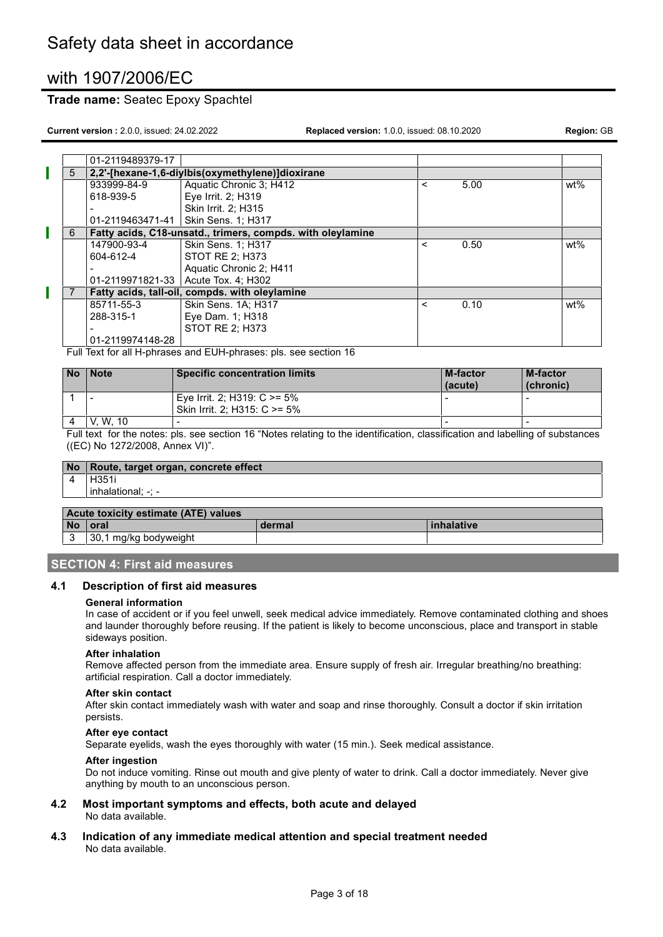### **Trade name:** Seatec Epoxy Spachtel

**Current version :** 2.0.0, issued: 24.02.2022 **Replaced version:** 1.0.0, issued: 08.10.2020 **Region:** GB

|   | 01-2119489379-17 |                                                            |         |      |        |
|---|------------------|------------------------------------------------------------|---------|------|--------|
| 5 |                  | 2,2'-[hexane-1,6-diylbis(oxymethylene)]dioxirane           |         |      |        |
|   | 933999-84-9      | Aquatic Chronic 3; H412                                    | $\,<\,$ | 5.00 | $wt\%$ |
|   | 618-939-5        | Eye Irrit. 2; H319                                         |         |      |        |
|   |                  | Skin Irrit. 2: H315                                        |         |      |        |
|   | 01-2119463471-41 | <b>Skin Sens. 1: H317</b>                                  |         |      |        |
| 6 |                  | Fatty acids, C18-unsatd., trimers, compds. with oleylamine |         |      |        |
|   | 147900-93-4      | <b>Skin Sens. 1: H317</b>                                  | $\,<\,$ | 0.50 | $wt\%$ |
|   | 604-612-4        | STOT RE 2; H373                                            |         |      |        |
|   |                  | Aquatic Chronic 2; H411                                    |         |      |        |
|   |                  | 01-2119971821-33   Acute Tox. 4; H302                      |         |      |        |
|   |                  | Fatty acids, tall-oil, compds. with oleylamine             |         |      |        |
|   | 85711-55-3       | Skin Sens. 1A; H317                                        | $\prec$ | 0.10 | wt%    |
|   | 288-315-1        | Eye Dam. 1; H318                                           |         |      |        |
|   |                  | STOT RE 2: H373                                            |         |      |        |
|   | 01-2119974148-28 |                                                            |         |      |        |
|   | - . -            | .<br>$\overline{\phantom{a}}$                              |         |      |        |

Full Text for all H-phrases and EUH-phrases: pls. see section 16

| <b>No</b> | <b>Note</b> | <b>Specific concentration limits</b>                            | <b>M-factor</b><br>(acute) | <b>M-factor</b><br>(chronic) |
|-----------|-------------|-----------------------------------------------------------------|----------------------------|------------------------------|
|           | -           | Eye Irrit. 2; H319: $C \ge 5\%$<br>Skin Irrit. 2: H315: C >= 5% |                            |                              |
|           | W. 10<br>V. |                                                                 | $\overline{\phantom{a}}$   | -                            |

Full text for the notes: pls. see section 16 "Notes relating to the identification, classification and labelling of substances ((EC) No 1272/2008, Annex VI)".

|           | No Route, target organ, concrete effect |        |            |  |  |
|-----------|-----------------------------------------|--------|------------|--|--|
|           | l H351i                                 |        |            |  |  |
|           | l inhalational: -: -                    |        |            |  |  |
|           |                                         |        |            |  |  |
|           | Acute toxicity estimate (ATE) values    |        |            |  |  |
| <b>No</b> | <b>l</b> oral                           | dermal | inhalative |  |  |
| 3         | 30,1 mg/kg bodyweight                   |        |            |  |  |

#### **SECTION 4: First aid measures**

#### **4.1 Description of first aid measures**

#### **General information**

In case of accident or if you feel unwell, seek medical advice immediately. Remove contaminated clothing and shoes and launder thoroughly before reusing. If the patient is likely to become unconscious, place and transport in stable sideways position.

#### **After inhalation**

Remove affected person from the immediate area. Ensure supply of fresh air. Irregular breathing/no breathing: artificial respiration. Call a doctor immediately.

#### **After skin contact**

After skin contact immediately wash with water and soap and rinse thoroughly. Consult a doctor if skin irritation persists.

#### **After eye contact**

Separate eyelids, wash the eyes thoroughly with water (15 min.). Seek medical assistance.

#### **After ingestion**

Do not induce vomiting. Rinse out mouth and give plenty of water to drink. Call a doctor immediately. Never give anything by mouth to an unconscious person.

- **4.2 Most important symptoms and effects, both acute and delayed** No data available.
- **4.3 Indication of any immediate medical attention and special treatment needed** No data available.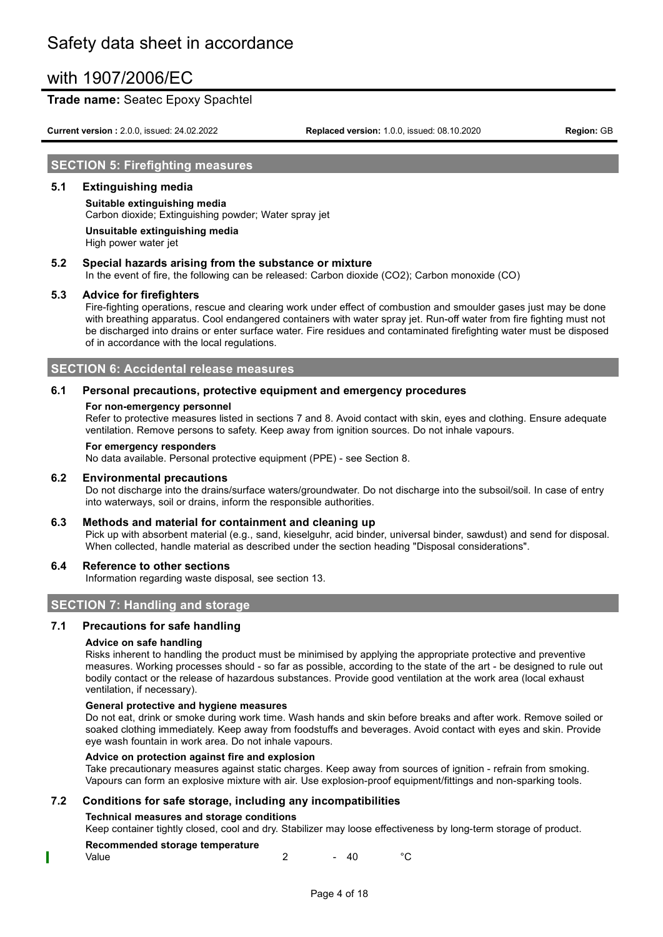### **Trade name:** Seatec Epoxy Spachtel

**Current version :** 2.0.0, issued: 24.02.2022 **Replaced version:** 1.0.0, issued: 08.10.2020 **Region:** GB

## **SECTION 5: Firefighting measures**

#### **5.1 Extinguishing media**

**Suitable extinguishing media** Carbon dioxide; Extinguishing powder; Water spray jet

**Unsuitable extinguishing media** High power water jet

#### **5.2 Special hazards arising from the substance or mixture**

In the event of fire, the following can be released: Carbon dioxide (CO2); Carbon monoxide (CO)

#### **5.3 Advice for firefighters**

Fire-fighting operations, rescue and clearing work under effect of combustion and smoulder gases just may be done with breathing apparatus. Cool endangered containers with water spray jet. Run-off water from fire fighting must not be discharged into drains or enter surface water. Fire residues and contaminated firefighting water must be disposed of in accordance with the local regulations.

### **SECTION 6: Accidental release measures**

#### **6.1 Personal precautions, protective equipment and emergency procedures**

#### **For non-emergency personnel**

Refer to protective measures listed in sections 7 and 8. Avoid contact with skin, eyes and clothing. Ensure adequate ventilation. Remove persons to safety. Keep away from ignition sources. Do not inhale vapours.

#### **For emergency responders**

No data available. Personal protective equipment (PPE) - see Section 8.

#### **6.2 Environmental precautions**

Do not discharge into the drains/surface waters/groundwater. Do not discharge into the subsoil/soil. In case of entry into waterways, soil or drains, inform the responsible authorities.

#### **6.3 Methods and material for containment and cleaning up**

Pick up with absorbent material (e.g., sand, kieselguhr, acid binder, universal binder, sawdust) and send for disposal. When collected, handle material as described under the section heading "Disposal considerations".

#### **6.4 Reference to other sections**

Information regarding waste disposal, see section 13.

### **SECTION 7: Handling and storage**

#### **7.1 Precautions for safe handling**

#### **Advice on safe handling**

Risks inherent to handling the product must be minimised by applying the appropriate protective and preventive measures. Working processes should - so far as possible, according to the state of the art - be designed to rule out bodily contact or the release of hazardous substances. Provide good ventilation at the work area (local exhaust ventilation, if necessary).

#### **General protective and hygiene measures**

Do not eat, drink or smoke during work time. Wash hands and skin before breaks and after work. Remove soiled or soaked clothing immediately. Keep away from foodstuffs and beverages. Avoid contact with eyes and skin. Provide eye wash fountain in work area. Do not inhale vapours.

#### **Advice on protection against fire and explosion**

Take precautionary measures against static charges. Keep away from sources of ignition - refrain from smoking. Vapours can form an explosive mixture with air. Use explosion-proof equipment/fittings and non-sparking tools.

#### **7.2 Conditions for safe storage, including any incompatibilities**

# **Technical measures and storage conditions**

Keep container tightly closed, cool and dry. Stabilizer may loose effectiveness by long-term storage of product.

# **Recommended storage temperature**

Value  $\sim$  2  $\sim$  40  $\rm ^{\circ}C$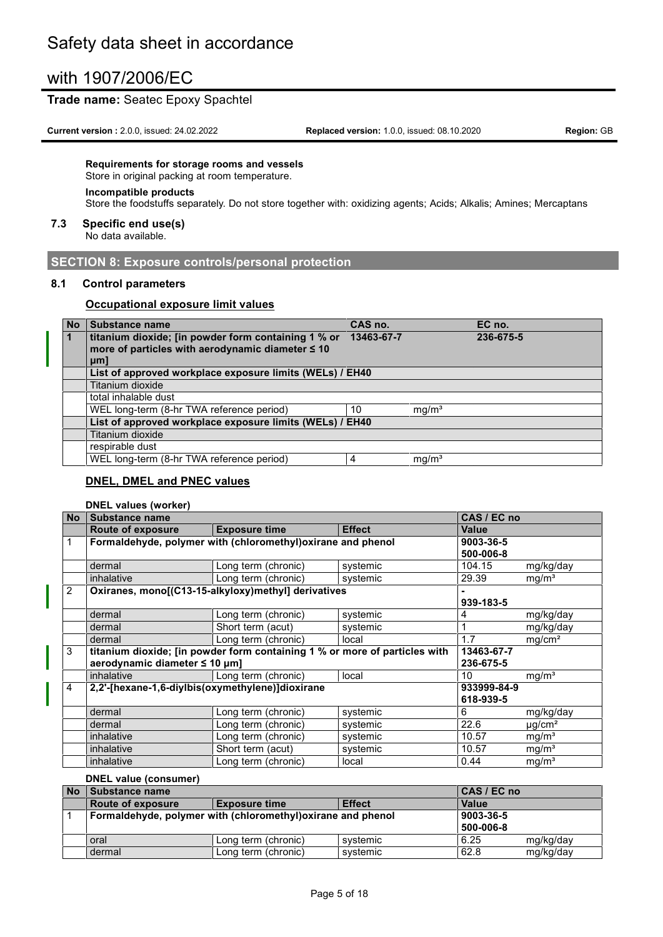### **Trade name:** Seatec Epoxy Spachtel

**Current version :** 2.0.0, issued: 24.02.2022 **Replaced version:** 1.0.0, issued: 08.10.2020 **Region:** GB

#### **Requirements for storage rooms and vessels**

Store in original packing at room temperature.

# **Incompatible products**

Store the foodstuffs separately. Do not store together with: oxidizing agents; Acids; Alkalis; Amines; Mercaptans

#### **7.3 Specific end use(s)**

No data available.

## **SECTION 8: Exposure controls/personal protection**

#### **8.1 Control parameters**

#### **Occupational exposure limit values**

| <b>No</b>    | Substance name                                           | CAS no.    |                   | EC no.    |
|--------------|----------------------------------------------------------|------------|-------------------|-----------|
| $\mathbf{1}$ | titanium dioxide; [in powder form containing 1 % or      | 13463-67-7 |                   | 236-675-5 |
|              | more of particles with aerodynamic diameter $\leq 10$    |            |                   |           |
|              | $µm$ ]                                                   |            |                   |           |
|              | List of approved workplace exposure limits (WELs) / EH40 |            |                   |           |
|              | Titanium dioxide                                         |            |                   |           |
|              | total inhalable dust                                     |            |                   |           |
|              | WEL long-term (8-hr TWA reference period)                | 10         | mg/m <sup>3</sup> |           |
|              | List of approved workplace exposure limits (WELs) / EH40 |            |                   |           |
|              | Titanium dioxide                                         |            |                   |           |
|              | respirable dust                                          |            |                   |           |
|              | WEL long-term (8-hr TWA reference period)                | 4          | mq/m <sup>3</sup> |           |

#### **DNEL, DMEL and PNEC values**

#### **DNEL values (worker)**

| <b>No</b> | CAS / EC no<br>Substance name                    |                                                                            |               |              |                         |
|-----------|--------------------------------------------------|----------------------------------------------------------------------------|---------------|--------------|-------------------------|
|           | <b>Route of exposure</b>                         | <b>Exposure time</b>                                                       | <b>Effect</b> | <b>Value</b> |                         |
|           |                                                  | Formaldehyde, polymer with (chloromethyl) oxirane and phenol               |               | 9003-36-5    |                         |
|           |                                                  |                                                                            |               | 500-006-8    |                         |
|           | dermal                                           | Long term (chronic)                                                        | systemic      | 104.15       | mg/kg/day               |
|           | inhalative                                       | Long term (chronic)                                                        | systemic      | 29.39        | mg/m <sup>3</sup>       |
| 2         |                                                  | Oxiranes, mono[(C13-15-alkyloxy)methyl] derivatives                        |               |              |                         |
|           |                                                  |                                                                            |               | 939-183-5    |                         |
|           | dermal                                           | Long term (chronic)                                                        | systemic      | 4            | mg/kg/day               |
|           | dermal                                           | Short term (acut)                                                          | systemic      |              | mg/kg/day               |
|           | dermal                                           | Long term (chronic)                                                        | local         | 1.7          | mg/cm <sup>2</sup>      |
| 3         |                                                  | titanium dioxide; [in powder form containing 1 % or more of particles with |               | 13463-67-7   |                         |
|           | aerodynamic diameter ≤ 10 µm]                    |                                                                            |               | 236-675-5    |                         |
|           | inhalative                                       | Long term (chronic)                                                        | local         | 10           | mg/m <sup>3</sup>       |
| 4         | 2,2'-[hexane-1,6-diylbis(oxymethylene)]dioxirane |                                                                            |               | 933999-84-9  |                         |
|           |                                                  |                                                                            |               | 618-939-5    |                         |
|           | dermal                                           | Long term (chronic)                                                        | systemic      | 6            | mg/kg/day               |
|           | dermal                                           | Long term (chronic)                                                        | systemic      | 22.6         | $\mu$ g/cm <sup>2</sup> |
|           | inhalative                                       | Long term (chronic)                                                        | systemic      | 10.57        | mg/m <sup>3</sup>       |
|           | inhalative                                       | Short term (acut)                                                          | systemic      | 10.57        | mg/m <sup>3</sup>       |
|           | inhalative                                       | Long term (chronic)                                                        | local         | 0.44         | mg/m <sup>3</sup>       |

## **DNEL value (consumer)**

| <b>No</b> | Substance name                                                            | CAS / EC no          |               |              |           |
|-----------|---------------------------------------------------------------------------|----------------------|---------------|--------------|-----------|
|           | <b>Route of exposure</b>                                                  | <b>Exposure time</b> | <b>Effect</b> | <b>Value</b> |           |
|           | 9003-36-5<br>Formaldehyde, polymer with (chloromethyl) oxirane and phenol |                      |               |              |           |
|           |                                                                           |                      |               | 500-006-8    |           |
|           | oral                                                                      | Long term (chronic)  | svstemic      | 6.25         | mg/kg/day |
|           | dermal                                                                    | Long term (chronic)  | systemic      | 62.8         | mg/kg/day |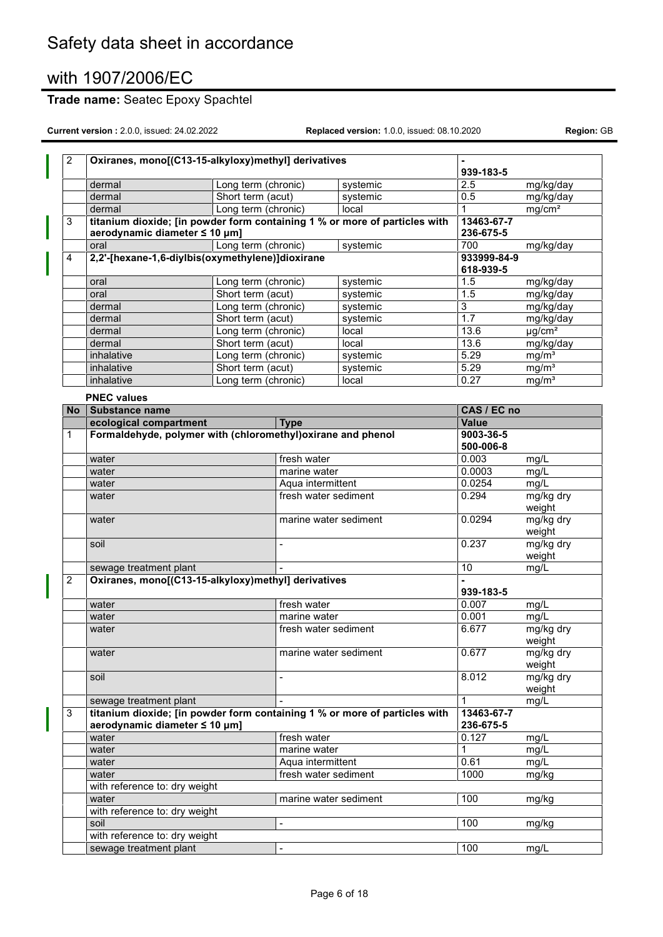# **Trade name:** Seatec Epoxy Spachtel

| $\overline{2}$ | Oxiranes, mono[(C13-15-alkyloxy)methyl] derivatives                                                         |                                          |                              |                   |                         |                         |
|----------------|-------------------------------------------------------------------------------------------------------------|------------------------------------------|------------------------------|-------------------|-------------------------|-------------------------|
|                |                                                                                                             |                                          |                              |                   | 939-183-5               |                         |
|                | dermal                                                                                                      | Long term (chronic)<br>Short term (acut) |                              | systemic          | 2.5<br>0.5              | mg/kg/day<br>mg/kg/day  |
|                | dermal                                                                                                      |                                          |                              | systemic<br>local | 1                       |                         |
| 3              | dermal<br>titanium dioxide; [in powder form containing 1 % or more of particles with                        | Long term (chronic)                      |                              |                   | 13463-67-7              | mg/cm <sup>2</sup>      |
|                | aerodynamic diameter ≤ 10 µm]                                                                               |                                          |                              |                   | 236-675-5               |                         |
|                | oral                                                                                                        | Long term (chronic)                      |                              | systemic          | 700                     | mg/kg/day               |
| 4              | 2,2'-[hexane-1,6-diylbis(oxymethylene)]dioxirane                                                            |                                          |                              |                   | 933999-84-9             |                         |
|                |                                                                                                             |                                          |                              |                   | 618-939-5               |                         |
|                | oral                                                                                                        | Long term (chronic)                      |                              | systemic          | 1.5                     | mg/kg/day               |
|                | oral                                                                                                        | Short term (acut)                        |                              | systemic          | 1.5                     | mg/kg/day               |
|                | dermal                                                                                                      | Long term (chronic)                      |                              | systemic          | 3                       | mg/kg/day               |
|                | dermal                                                                                                      | Short term (acut)                        |                              | systemic          | 1.7                     | mg/kg/day               |
|                | dermal                                                                                                      | Long term (chronic)                      |                              | local             | 13.6                    | $\mu$ g/cm <sup>2</sup> |
|                | dermal                                                                                                      | Short term (acut)                        |                              | local             | 13.6                    | mg/kg/day               |
|                | inhalative                                                                                                  | Long term (chronic)                      |                              | systemic          | 5.29                    | mg/m <sup>3</sup>       |
|                | inhalative                                                                                                  | Short term (acut)                        |                              | systemic          | 5.29                    | mg/m <sup>3</sup>       |
|                | inhalative                                                                                                  | Long term (chronic)                      |                              | local             | 0.27                    | mg/m <sup>3</sup>       |
|                | <b>PNEC values</b>                                                                                          |                                          |                              |                   |                         |                         |
| No l           | Substance name                                                                                              |                                          |                              |                   | CAS / EC no             |                         |
|                | ecological compartment                                                                                      |                                          | <b>Type</b>                  |                   | Value                   |                         |
| 1              | Formaldehyde, polymer with (chloromethyl) oxirane and phenol                                                |                                          |                              |                   | 9003-36-5               |                         |
|                |                                                                                                             |                                          |                              |                   | 500-006-8               |                         |
|                | water                                                                                                       |                                          | fresh water                  |                   | 0.003                   | mg/L                    |
|                | water                                                                                                       |                                          | marine water                 |                   | 0.0003                  | mg/L                    |
|                | water                                                                                                       | Aqua intermittent                        |                              | 0.0254            | mg/L                    |                         |
|                | water                                                                                                       |                                          | fresh water sediment         |                   | 0.294                   | mg/kg dry               |
|                |                                                                                                             |                                          |                              |                   |                         | weight                  |
|                | water                                                                                                       |                                          | marine water sediment        |                   | 0.0294                  | mg/kg dry<br>weight     |
|                | soil                                                                                                        |                                          | $\frac{1}{2}$                |                   | 0.237                   | mg/kg dry<br>weight     |
|                | sewage treatment plant                                                                                      |                                          |                              |                   | 10                      | mg/L                    |
| $\overline{2}$ | Oxiranes, mono[(C13-15-alkyloxy)methyl] derivatives                                                         |                                          |                              |                   |                         |                         |
|                |                                                                                                             |                                          |                              |                   | 939-183-5               |                         |
|                | water                                                                                                       |                                          | fresh water                  |                   | 0.007                   | mg/L                    |
|                | water                                                                                                       |                                          | marine water                 |                   | 0.001                   | mg/L                    |
|                | water                                                                                                       |                                          | fresh water sediment         |                   | 6.677                   | mg/kg dry<br>weight     |
|                | water                                                                                                       |                                          | marine water sediment        |                   | 0.677                   | mg/kg dry<br>weight     |
|                | soil                                                                                                        |                                          |                              |                   | 8.012                   | mg/kg dry<br>weight     |
|                | sewage treatment plant                                                                                      |                                          |                              |                   | 1                       | mg/L                    |
| 3              | titanium dioxide; [in powder form containing 1 % or more of particles with<br>aerodynamic diameter ≤ 10 µm] |                                          |                              |                   | 13463-67-7<br>236-675-5 |                         |
|                | water                                                                                                       |                                          | fresh water                  |                   | 0.127                   | mg/L                    |
|                | water                                                                                                       |                                          | marine water                 |                   | 1                       | mg/L                    |
|                | water                                                                                                       |                                          | Aqua intermittent            |                   | 0.61                    | mg/L                    |
|                | water                                                                                                       |                                          | fresh water sediment         |                   | 1000                    | mg/kg                   |
|                | with reference to: dry weight                                                                               |                                          |                              |                   |                         |                         |
|                | water                                                                                                       |                                          | marine water sediment        |                   | 100                     | mg/kg                   |
|                | with reference to: dry weight                                                                               |                                          |                              |                   |                         |                         |
|                | soil                                                                                                        |                                          | -                            |                   | 100                     | mg/kg                   |
|                | with reference to: dry weight                                                                               |                                          |                              |                   |                         |                         |
|                | sewage treatment plant                                                                                      |                                          | $\qquad \qquad \blacksquare$ |                   | 100                     | mg/L                    |
|                |                                                                                                             |                                          |                              |                   |                         |                         |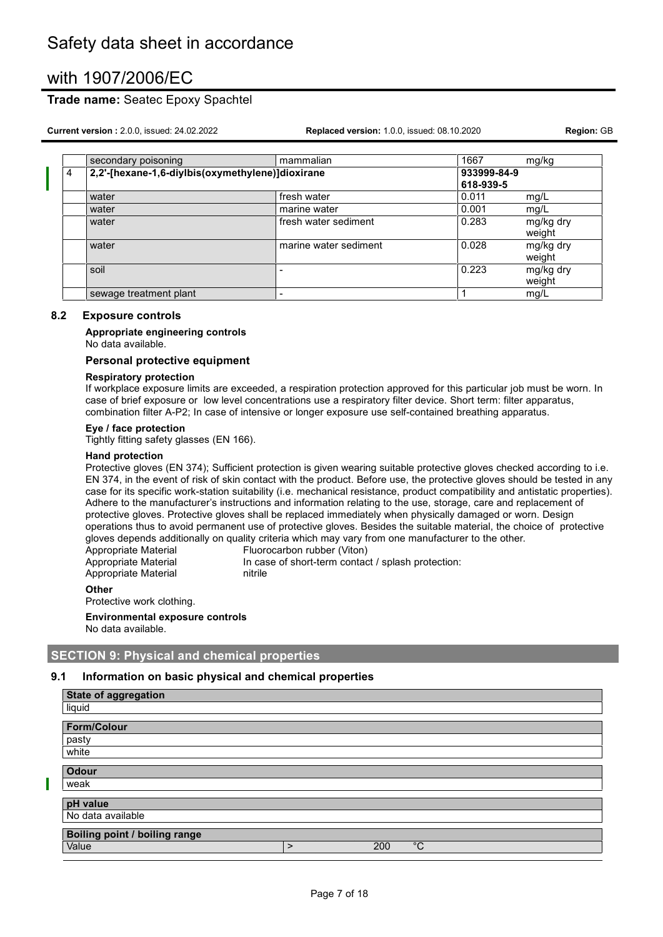### **Trade name:** Seatec Epoxy Spachtel

**Current version :** 2.0.0, issued: 24.02.2022 **Replaced version:** 1.0.0, issued: 08.10.2020 **Region:** GB

|                | secondary poisoning                              | mammalian             | 1667        | mg/kg               |
|----------------|--------------------------------------------------|-----------------------|-------------|---------------------|
| $\overline{4}$ | 2,2'-[hexane-1,6-diylbis(oxymethylene)]dioxirane |                       | 933999-84-9 |                     |
|                |                                                  |                       | 618-939-5   |                     |
|                | water                                            | fresh water           | 0.011       | mg/L                |
|                | water                                            | marine water          | 0.001       | mg/L                |
|                | water                                            | fresh water sediment  | 0.283       | mg/kg dry<br>weight |
|                | water                                            | marine water sediment | 0.028       | mg/kg dry<br>weight |
|                | soil                                             | -                     | 0.223       | mg/kg dry<br>weight |
|                | sewage treatment plant                           | -                     |             | mg/L                |

#### **8.2 Exposure controls**

**Appropriate engineering controls** No data available.

#### **Personal protective equipment**

#### **Respiratory protection**

If workplace exposure limits are exceeded, a respiration protection approved for this particular job must be worn. In case of brief exposure or low level concentrations use a respiratory filter device. Short term: filter apparatus, combination filter A-P2; In case of intensive or longer exposure use self-contained breathing apparatus.

#### **Eye / face protection**

Tightly fitting safety glasses (EN 166).

#### **Hand protection**

Protective gloves (EN 374); Sufficient protection is given wearing suitable protective gloves checked according to i.e. EN 374, in the event of risk of skin contact with the product. Before use, the protective gloves should be tested in any case for its specific work-station suitability (i.e. mechanical resistance, product compatibility and antistatic properties). Adhere to the manufacturer's instructions and information relating to the use, storage, care and replacement of protective gloves. Protective gloves shall be replaced immediately when physically damaged or worn. Design operations thus to avoid permanent use of protective gloves. Besides the suitable material, the choice of protective gloves depends additionally on quality criteria which may vary from one manufacturer to the other.

| $\mathsf{A}$ thar    |                                                    |
|----------------------|----------------------------------------------------|
| Appropriate Material | nitrile                                            |
| Appropriate Material | In case of short-term contact / splash protection: |
| Appropriate Material | Fluorocarbon rubber (Viton)                        |

**Other** Protective work clothing.

П

**Environmental exposure controls**

No data available.

#### **SECTION 9: Physical and chemical properties**

#### **9.1 Information on basic physical and chemical properties**

| State of aggregation                 |   |     |             |
|--------------------------------------|---|-----|-------------|
| liquid                               |   |     |             |
| <b>Form/Colour</b>                   |   |     |             |
|                                      |   |     |             |
| pasty                                |   |     |             |
| white                                |   |     |             |
| <b>Odour</b>                         |   |     |             |
| weak                                 |   |     |             |
| pH value                             |   |     |             |
| No data available                    |   |     |             |
| <b>Boiling point / boiling range</b> |   |     |             |
| Value                                | ⋗ | 200 | $^{\circ}C$ |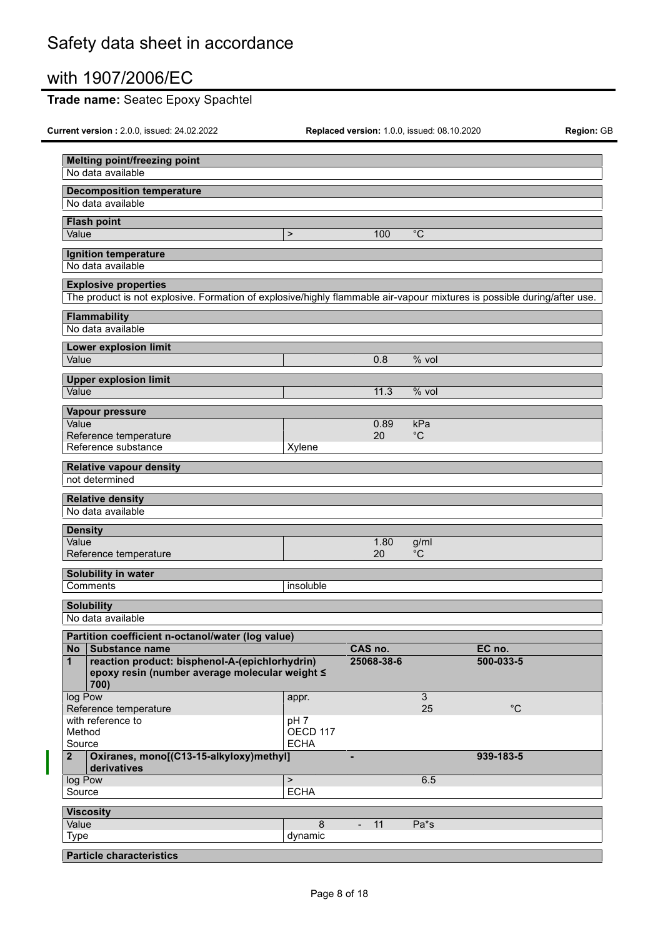# **Trade name:** Seatec Epoxy Spachtel

| <b>Melting point/freezing point</b><br>No data available                                                                |                 |                                |                |              |  |
|-------------------------------------------------------------------------------------------------------------------------|-----------------|--------------------------------|----------------|--------------|--|
|                                                                                                                         |                 |                                |                |              |  |
| <b>Decomposition temperature</b><br>No data available                                                                   |                 |                                |                |              |  |
|                                                                                                                         |                 |                                |                |              |  |
| <b>Flash point</b><br>Value                                                                                             | $\,$            | 100                            | $^{\circ}C$    |              |  |
|                                                                                                                         |                 |                                |                |              |  |
| Ignition temperature                                                                                                    |                 |                                |                |              |  |
| No data available                                                                                                       |                 |                                |                |              |  |
| <b>Explosive properties</b>                                                                                             |                 |                                |                |              |  |
| The product is not explosive. Formation of explosive/highly flammable air-vapour mixtures is possible during/after use. |                 |                                |                |              |  |
| Flammability                                                                                                            |                 |                                |                |              |  |
| No data available                                                                                                       |                 |                                |                |              |  |
| <b>Lower explosion limit</b>                                                                                            |                 |                                |                |              |  |
| Value                                                                                                                   |                 | 0.8                            | % vol          |              |  |
|                                                                                                                         |                 |                                |                |              |  |
| <b>Upper explosion limit</b><br>Value                                                                                   |                 | 11.3                           | $%$ vol        |              |  |
|                                                                                                                         |                 |                                |                |              |  |
| Vapour pressure                                                                                                         |                 |                                |                |              |  |
| Value                                                                                                                   |                 | 0.89                           | kPa            |              |  |
| Reference temperature<br>Reference substance                                                                            | Xylene          | 20                             | $^{\circ}C$    |              |  |
|                                                                                                                         |                 |                                |                |              |  |
| <b>Relative vapour density</b>                                                                                          |                 |                                |                |              |  |
| not determined                                                                                                          |                 |                                |                |              |  |
| <b>Relative density</b>                                                                                                 |                 |                                |                |              |  |
| No data available                                                                                                       |                 |                                |                |              |  |
| <b>Density</b>                                                                                                          |                 |                                |                |              |  |
| Value                                                                                                                   |                 | 1.80                           | g/ml           |              |  |
| Reference temperature                                                                                                   |                 | 20                             | $^{\circ}C$    |              |  |
| Solubility in water                                                                                                     |                 |                                |                |              |  |
| Comments                                                                                                                | insoluble       |                                |                |              |  |
| <b>Solubility</b>                                                                                                       |                 |                                |                |              |  |
| No data available                                                                                                       |                 |                                |                |              |  |
|                                                                                                                         |                 |                                |                |              |  |
| Partition coefficient n-octanol/water (log value)<br>Substance name<br>No                                               |                 | CAS no.                        |                | EC no.       |  |
| reaction product: bisphenol-A-(epichlorhydrin)<br>$\mathbf{1}$                                                          |                 | 25068-38-6                     |                | 500-033-5    |  |
| epoxy resin (number average molecular weight ≤                                                                          |                 |                                |                |              |  |
| 700)                                                                                                                    |                 |                                |                |              |  |
| log Pow                                                                                                                 | appr.           |                                | $\overline{3}$ |              |  |
| Reference temperature<br>with reference to                                                                              | pH <sub>7</sub> |                                | 25             | $^{\circ}$ C |  |
| Method                                                                                                                  | OECD 117        |                                |                |              |  |
| Source                                                                                                                  | <b>ECHA</b>     |                                |                |              |  |
| Oxiranes, mono[(C13-15-alkyloxy)methyl]<br>2 <sup>1</sup><br>derivatives                                                |                 | $\blacksquare$                 |                | 939-183-5    |  |
| log Pow                                                                                                                 | $\,$            |                                | 6.5            |              |  |
| Source                                                                                                                  | <b>ECHA</b>     |                                |                |              |  |
| <b>Viscosity</b>                                                                                                        |                 |                                |                |              |  |
| Value                                                                                                                   | 8               | 11<br>$\overline{\phantom{0}}$ | Pa*s           |              |  |
| <b>Type</b>                                                                                                             | dynamic         |                                |                |              |  |
| <b>Particle characteristics</b>                                                                                         |                 |                                |                |              |  |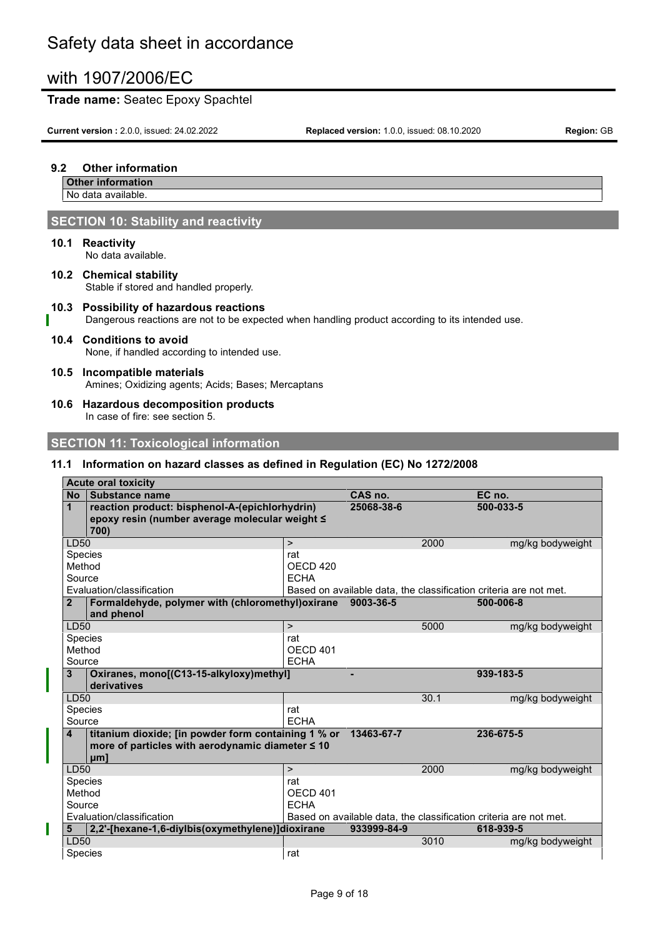### **Trade name:** Seatec Epoxy Spachtel

**Current version :** 2.0.0, issued: 24.02.2022 **Replaced version:** 1.0.0, issued: 08.10.2020 **Region:** GB

#### **9.2 Other information**

**Other information** No data available.

# **SECTION 10: Stability and reactivity**

**10.1 Reactivity**

No data available.

**10.2 Chemical stability** Stable if stored and handled properly.

#### **10.3 Possibility of hazardous reactions** Dangerous reactions are not to be expected when handling product according to its intended use.

# **10.4 Conditions to avoid**

None, if handled according to intended use.

#### **10.5 Incompatible materials** Amines; Oxidizing agents; Acids; Bases; Mercaptans

**10.6 Hazardous decomposition products** In case of fire: see section 5.

## **SECTION 11: Toxicological information**

## **11.1 Information on hazard classes as defined in Regulation (EC) No 1272/2008**

|                             | <b>Acute oral toxicity</b>                                                                                             |                                           |             |      |                                                                   |
|-----------------------------|------------------------------------------------------------------------------------------------------------------------|-------------------------------------------|-------------|------|-------------------------------------------------------------------|
| <b>No</b>                   | Substance name                                                                                                         |                                           | CAS no.     |      | EC no.                                                            |
| $\mathbf 1$                 | reaction product: bisphenol-A-(epichlorhydrin)<br>epoxy resin (number average molecular weight ≤<br>700)               |                                           | 25068-38-6  |      | 500-033-5                                                         |
| LD50                        |                                                                                                                        | $\geq$                                    |             | 2000 | mg/kg bodyweight                                                  |
| Species<br>Method<br>Source |                                                                                                                        | rat<br>OECD <sub>420</sub><br><b>ECHA</b> |             |      |                                                                   |
|                             | Evaluation/classification                                                                                              |                                           |             |      | Based on available data, the classification criteria are not met. |
| $\overline{2}$              | Formaldehyde, polymer with (chloromethyl) oxirane<br>and phenol                                                        |                                           | 9003-36-5   |      | 500-006-8                                                         |
| LD50                        |                                                                                                                        | $\, >$                                    |             | 5000 | mg/kg bodyweight                                                  |
| Species<br>Method<br>Source |                                                                                                                        | rat<br><b>OECD 401</b><br><b>ECHA</b>     |             |      |                                                                   |
| 3                           | Oxiranes, mono[(C13-15-alkyloxy)methyl]<br>derivatives                                                                 |                                           | ٠           |      | 939-183-5                                                         |
| LD50                        |                                                                                                                        |                                           |             | 30.1 | mg/kg bodyweight                                                  |
| Species                     |                                                                                                                        | rat                                       |             |      |                                                                   |
| Source                      |                                                                                                                        | <b>ECHA</b>                               |             |      |                                                                   |
| $\overline{\mathbf{4}}$     | titanium dioxide; [in powder form containing 1 % or<br>more of particles with aerodynamic diameter $\leq 10$<br>$µm$ ] |                                           | 13463-67-7  |      | 236-675-5                                                         |
| LD50                        |                                                                                                                        | $\,>$                                     |             | 2000 | mg/kg bodyweight                                                  |
| Species                     |                                                                                                                        | rat                                       |             |      |                                                                   |
| Method                      |                                                                                                                        | OECD 401                                  |             |      |                                                                   |
| Source                      |                                                                                                                        | <b>ECHA</b>                               |             |      |                                                                   |
|                             | Evaluation/classification                                                                                              |                                           |             |      | Based on available data, the classification criteria are not met. |
| 5                           | 2,2'-[hexane-1,6-diylbis(oxymethylene)]dioxirane                                                                       |                                           | 933999-84-9 |      | 618-939-5                                                         |
| <b>LD50</b>                 |                                                                                                                        |                                           |             | 3010 | mg/kg bodyweight                                                  |
| Species                     |                                                                                                                        | rat                                       |             |      |                                                                   |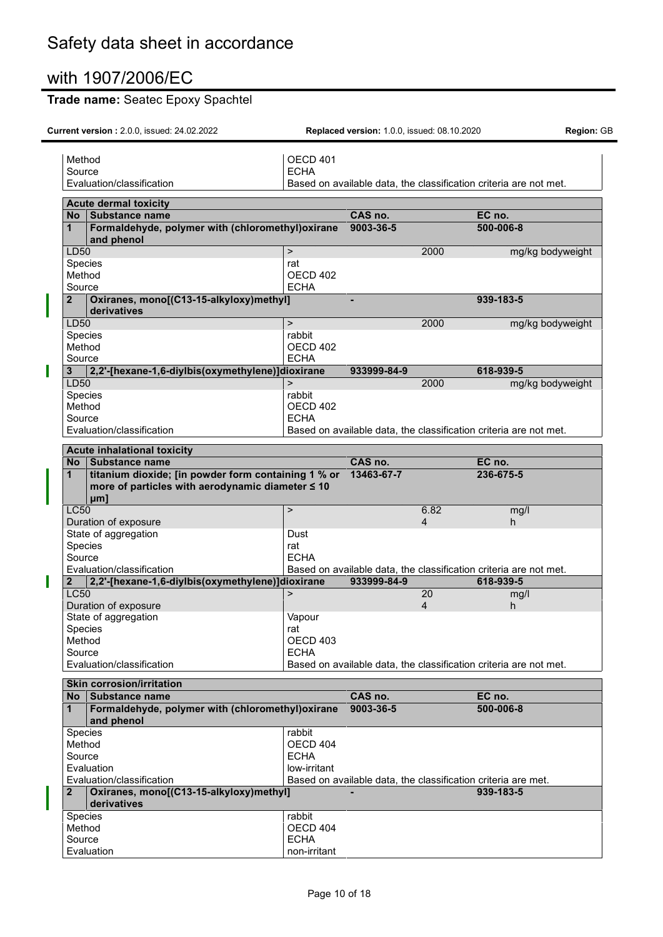# **Trade name:** Seatec Epoxy Spachtel

| Method       |                                                                                                                | OECD 401                    |             |                |                                                                            |  |
|--------------|----------------------------------------------------------------------------------------------------------------|-----------------------------|-------------|----------------|----------------------------------------------------------------------------|--|
| Source       | Evaluation/classification                                                                                      | <b>ECHA</b>                 |             |                | Based on available data, the classification criteria are not met.          |  |
|              | <b>Acute dermal toxicity</b>                                                                                   |                             |             |                |                                                                            |  |
| No.          | Substance name                                                                                                 |                             | CAS no.     |                | EC no.                                                                     |  |
| $\mathbf{1}$ | Formaldehyde, polymer with (chloromethyl) oxirane<br>and phenol                                                |                             | 9003-36-5   |                | 500-006-8                                                                  |  |
| LD50         |                                                                                                                | $\geq$                      |             | 2000           | mg/kg bodyweight                                                           |  |
|              | <b>Species</b>                                                                                                 | rat                         |             |                |                                                                            |  |
| Method       |                                                                                                                | OECD 402                    |             |                |                                                                            |  |
| Source       |                                                                                                                | <b>ECHA</b>                 |             |                |                                                                            |  |
| $\mathbf{2}$ | Oxiranes, mono[(C13-15-alkyloxy)methyl]<br>derivatives                                                         |                             |             |                | 939-183-5                                                                  |  |
| LD50         |                                                                                                                | $\geq$                      |             | 2000           | mg/kg bodyweight                                                           |  |
| Method       | Species                                                                                                        | rabbit<br>OECD 402          |             |                |                                                                            |  |
| Source       |                                                                                                                | <b>ECHA</b>                 |             |                |                                                                            |  |
| 3            | 2,2'-[hexane-1,6-diylbis(oxymethylene)]dioxirane                                                               |                             | 933999-84-9 |                | 618-939-5                                                                  |  |
| LD50         |                                                                                                                | $\mathbf{L}$                |             | 2000           | mg/kg bodyweight                                                           |  |
|              | Species                                                                                                        | rabbit                      |             |                |                                                                            |  |
| Method       |                                                                                                                | OECD 402                    |             |                |                                                                            |  |
| Source       |                                                                                                                | <b>ECHA</b>                 |             |                |                                                                            |  |
|              | Evaluation/classification                                                                                      |                             |             |                | Based on available data, the classification criteria are not met.          |  |
|              | <b>Acute inhalational toxicity</b>                                                                             |                             |             |                |                                                                            |  |
| <b>No</b>    | <b>Substance name</b>                                                                                          |                             | CAS no.     |                | EC no.                                                                     |  |
| $\mathbf 1$  | titanium dioxide; [in powder form containing 1 % or<br>more of particles with aerodynamic diameter ≤ 10<br>µm] |                             | 13463-67-7  |                | 236-675-5                                                                  |  |
| <b>LC50</b>  | Duration of exposure                                                                                           | $\mathbf{L}$                |             | 6.82<br>4      | mg/l<br>h.                                                                 |  |
|              | State of aggregation                                                                                           | Dust                        |             |                |                                                                            |  |
|              | Species                                                                                                        | rat                         |             |                |                                                                            |  |
| Source       |                                                                                                                | <b>ECHA</b>                 |             |                |                                                                            |  |
|              | Evaluation/classification                                                                                      |                             |             |                | Based on available data, the classification criteria are not met.          |  |
| $\mathbf{2}$ | 2,2'-[hexane-1,6-diylbis(oxymethylene)]dioxirane                                                               |                             | 933999-84-9 |                | 618-939-5                                                                  |  |
| <b>LC50</b>  |                                                                                                                | $\mathbf{L}$                |             | 20             | mg/l                                                                       |  |
|              | Duration of exposure<br>State of aggregation                                                                   | Vapour                      |             | $\overline{4}$ | h                                                                          |  |
|              | <b>Species</b>                                                                                                 | rat                         |             |                |                                                                            |  |
| Method       |                                                                                                                | OECD <sub>403</sub>         |             |                |                                                                            |  |
| Source       |                                                                                                                | <b>ECHA</b>                 |             |                |                                                                            |  |
|              | Evaluation/classification                                                                                      |                             |             |                | Based on available data, the classification criteria are not met.          |  |
|              |                                                                                                                |                             |             |                |                                                                            |  |
|              | <b>Skin corrosion/irritation</b>                                                                               |                             |             |                |                                                                            |  |
| No.          | <b>Substance name</b>                                                                                          |                             | CAS no.     |                | EC no.                                                                     |  |
| $\mathbf{1}$ | Formaldehyde, polymer with (chloromethyl) oxirane<br>and phenol                                                |                             | 9003-36-5   |                | 500-006-8                                                                  |  |
|              | Species                                                                                                        | rabbit                      |             |                |                                                                            |  |
|              | Method                                                                                                         | OECD 404                    |             |                |                                                                            |  |
| Source       |                                                                                                                | <b>ECHA</b>                 |             |                |                                                                            |  |
|              | Evaluation                                                                                                     | low-irritant                |             |                |                                                                            |  |
| $\mathbf{2}$ | Evaluation/classification<br>Oxiranes, mono[(C13-15-alkyloxy)methyl]                                           |                             |             |                | Based on available data, the classification criteria are met.<br>939-183-5 |  |
|              | derivatives                                                                                                    | rabbit                      |             |                |                                                                            |  |
| Method       | Species                                                                                                        | OECD 404                    |             |                |                                                                            |  |
| Source       | Evaluation                                                                                                     | <b>ECHA</b><br>non-irritant |             |                |                                                                            |  |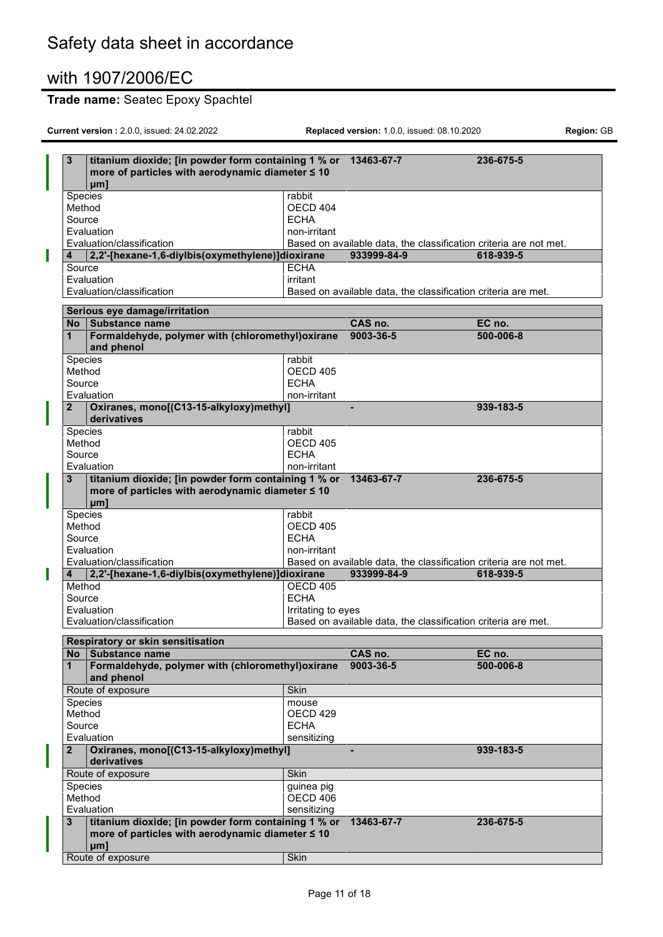# **Trade name:** Seatec Epoxy Spachtel

|   | 3            | titanium dioxide; [in powder form containing 1 % or 13463-67-7<br>more of particles with aerodynamic diameter ≤ 10<br>uml |                    |                                                                   | 236-675-5 |
|---|--------------|---------------------------------------------------------------------------------------------------------------------------|--------------------|-------------------------------------------------------------------|-----------|
|   |              |                                                                                                                           | rabbit             |                                                                   |           |
|   | Species      |                                                                                                                           |                    |                                                                   |           |
|   | Method       |                                                                                                                           | OECD 404           |                                                                   |           |
|   | Source       |                                                                                                                           | <b>ECHA</b>        |                                                                   |           |
|   |              | Evaluation                                                                                                                | non-irritant       |                                                                   |           |
|   |              | Evaluation/classification                                                                                                 |                    | Based on available data, the classification criteria are not met. |           |
| I | 4            | 2,2'-[hexane-1,6-diylbis(oxymethylene)]dioxirane                                                                          |                    | 933999-84-9                                                       | 618-939-5 |
|   | Source       |                                                                                                                           | <b>ECHA</b>        |                                                                   |           |
|   |              | Evaluation                                                                                                                | irritant           |                                                                   |           |
|   |              | Evaluation/classification                                                                                                 |                    | Based on available data, the classification criteria are met.     |           |
|   |              |                                                                                                                           |                    |                                                                   |           |
|   |              | Serious eye damage/irritation                                                                                             |                    |                                                                   |           |
|   | No           | Substance name                                                                                                            |                    | CAS no.                                                           | EC no.    |
|   | 1            | Formaldehyde, polymer with (chloromethyl) oxirane                                                                         |                    | 9003-36-5                                                         | 500-006-8 |
|   |              | and phenol                                                                                                                |                    |                                                                   |           |
|   |              |                                                                                                                           |                    |                                                                   |           |
|   | Species      |                                                                                                                           | rabbit             |                                                                   |           |
|   | Method       |                                                                                                                           | OECD 405           |                                                                   |           |
|   | Source       |                                                                                                                           | <b>ECHA</b>        |                                                                   |           |
|   |              | Evaluation                                                                                                                | non-irritant       |                                                                   |           |
|   | $\mathbf{2}$ | Oxiranes, mono[(C13-15-alkyloxy)methyl]                                                                                   |                    | ä,                                                                | 939-183-5 |
|   |              | derivatives                                                                                                               |                    |                                                                   |           |
|   | Species      |                                                                                                                           | rabbit             |                                                                   |           |
|   | Method       |                                                                                                                           | OECD 405           |                                                                   |           |
|   | Source       |                                                                                                                           | <b>ECHA</b>        |                                                                   |           |
|   |              |                                                                                                                           | non-irritant       |                                                                   |           |
|   |              | Evaluation                                                                                                                |                    |                                                                   |           |
|   |              | titanium dioxide; [in powder form containing 1 % or 13463-67-7                                                            |                    |                                                                   | 236-675-5 |
|   |              | more of particles with aerodynamic diameter ≤ 10<br>$µm$ ]                                                                |                    |                                                                   |           |
|   | Species      |                                                                                                                           | rabbit             |                                                                   |           |
|   | Method       |                                                                                                                           | OECD 405           |                                                                   |           |
|   | Source       |                                                                                                                           | <b>ECHA</b>        |                                                                   |           |
|   |              | Evaluation                                                                                                                | non-irritant       |                                                                   |           |
|   |              | Evaluation/classification                                                                                                 |                    | Based on available data, the classification criteria are not met. |           |
| H | 4            | 2,2'-[hexane-1,6-diylbis(oxymethylene)]dioxirane                                                                          |                    | 933999-84-9                                                       | 618-939-5 |
|   | Method       |                                                                                                                           | <b>OECD 405</b>    |                                                                   |           |
|   | Source       |                                                                                                                           | <b>ECHA</b>        |                                                                   |           |
|   |              | Evaluation                                                                                                                | Irritating to eyes |                                                                   |           |
|   |              | Evaluation/classification                                                                                                 |                    | Based on available data, the classification criteria are met.     |           |
|   |              |                                                                                                                           |                    |                                                                   |           |
|   |              | Respiratory or skin sensitisation                                                                                         |                    |                                                                   |           |
|   | No           | Substance name                                                                                                            |                    | CAS no.                                                           | EC no.    |
|   | 1            | Formaldehyde, polymer with (chloromethyl) oxirane                                                                         |                    | 9003-36-5                                                         | 500-006-8 |
|   |              | and phenol                                                                                                                |                    |                                                                   |           |
|   |              |                                                                                                                           |                    |                                                                   |           |
|   |              | Route of exposure                                                                                                         | <b>Skin</b>        |                                                                   |           |
|   | Species      |                                                                                                                           | mouse              |                                                                   |           |
|   | Method       |                                                                                                                           | OECD 429           |                                                                   |           |
|   | Source       |                                                                                                                           | <b>ECHA</b>        |                                                                   |           |
|   |              | Evaluation                                                                                                                | sensitizing        |                                                                   |           |
|   | $\mathbf{2}$ | Oxiranes, mono[(C13-15-alkyloxy)methyl]                                                                                   |                    |                                                                   | 939-183-5 |
|   |              | derivatives                                                                                                               |                    |                                                                   |           |
|   |              | Route of exposure                                                                                                         | <b>Skin</b>        |                                                                   |           |
|   | Species      |                                                                                                                           | guinea pig         |                                                                   |           |
|   | Method       |                                                                                                                           | OECD 406           |                                                                   |           |
|   |              | Evaluation                                                                                                                | sensitizing        |                                                                   |           |
|   | 3            | titanium dioxide; [in powder form containing 1 % or<br>more of particles with aerodynamic diameter ≤ 10<br>$µm$ ]         |                    | 13463-67-7                                                        | 236-675-5 |
|   |              | Route of exposure                                                                                                         | Skin               |                                                                   |           |
|   |              |                                                                                                                           |                    |                                                                   |           |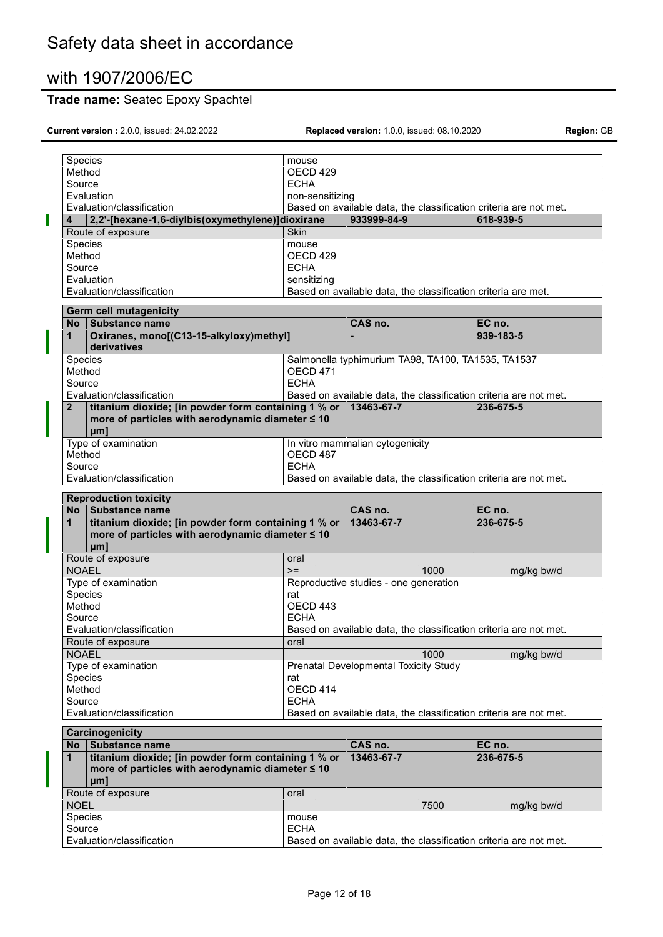# **Trade name:** Seatec Epoxy Spachtel

| Species           |                                                                                                         | mouse               |                                                               |      |                                                                   |  |
|-------------------|---------------------------------------------------------------------------------------------------------|---------------------|---------------------------------------------------------------|------|-------------------------------------------------------------------|--|
| Method            |                                                                                                         | OECD <sub>429</sub> |                                                               |      |                                                                   |  |
| Source            |                                                                                                         | <b>ECHA</b>         |                                                               |      |                                                                   |  |
|                   | Evaluation                                                                                              | non-sensitizing     |                                                               |      |                                                                   |  |
|                   | Evaluation/classification                                                                               |                     |                                                               |      | Based on available data, the classification criteria are not met. |  |
| 4                 | 2,2'-[hexane-1,6-diylbis(oxymethylene)]dioxirane                                                        |                     | 933999-84-9                                                   |      | 618-939-5                                                         |  |
|                   | Route of exposure                                                                                       | <b>Skin</b>         |                                                               |      |                                                                   |  |
| Species           |                                                                                                         | mouse               |                                                               |      |                                                                   |  |
| Method            |                                                                                                         | OECD <sub>429</sub> |                                                               |      |                                                                   |  |
|                   |                                                                                                         | <b>ECHA</b>         |                                                               |      |                                                                   |  |
| Source            |                                                                                                         |                     |                                                               |      |                                                                   |  |
|                   | Evaluation                                                                                              | sensitizing         |                                                               |      |                                                                   |  |
|                   | Evaluation/classification                                                                               |                     | Based on available data, the classification criteria are met. |      |                                                                   |  |
|                   | Germ cell mutagenicity                                                                                  |                     |                                                               |      |                                                                   |  |
|                   | No Substance name                                                                                       |                     | CAS no.                                                       |      | EC no.                                                            |  |
| $\mathbf 1$       | Oxiranes, mono[(C13-15-alkyloxy)methyl]                                                                 |                     |                                                               |      | 939-183-5                                                         |  |
|                   | derivatives                                                                                             |                     |                                                               |      |                                                                   |  |
| Species           |                                                                                                         |                     | Salmonella typhimurium TA98, TA100, TA1535, TA1537            |      |                                                                   |  |
| Method            |                                                                                                         | <b>OECD 471</b>     |                                                               |      |                                                                   |  |
| Source            |                                                                                                         | <b>ECHA</b>         |                                                               |      |                                                                   |  |
|                   | Evaluation/classification                                                                               |                     |                                                               |      | Based on available data, the classification criteria are not met. |  |
| $\mathbf{2}$      | titanium dioxide; [in powder form containing 1 % or 13463-67-7                                          |                     |                                                               |      | 236-675-5                                                         |  |
|                   | more of particles with aerodynamic diameter ≤ 10                                                        |                     |                                                               |      |                                                                   |  |
|                   | $µm$ ]                                                                                                  |                     |                                                               |      |                                                                   |  |
|                   | Type of examination                                                                                     |                     | In vitro mammalian cytogenicity                               |      |                                                                   |  |
| Method            |                                                                                                         | OECD 487            |                                                               |      |                                                                   |  |
| Source            |                                                                                                         | <b>ECHA</b>         |                                                               |      |                                                                   |  |
|                   | Evaluation/classification                                                                               |                     |                                                               |      | Based on available data, the classification criteria are not met. |  |
|                   |                                                                                                         |                     |                                                               |      |                                                                   |  |
|                   | <b>Reproduction toxicity</b>                                                                            |                     |                                                               |      |                                                                   |  |
|                   |                                                                                                         |                     |                                                               |      |                                                                   |  |
|                   | No Substance name                                                                                       |                     | CAS no.                                                       |      | EC no.                                                            |  |
| $\mathbf{1}$      | titanium dioxide; [in powder form containing 1 % or                                                     |                     | 13463-67-7                                                    |      | 236-675-5                                                         |  |
|                   | more of particles with aerodynamic diameter ≤ 10                                                        |                     |                                                               |      |                                                                   |  |
|                   | µm]                                                                                                     |                     |                                                               |      |                                                                   |  |
|                   | Route of exposure                                                                                       | oral                |                                                               |      |                                                                   |  |
| <b>NOAEL</b>      |                                                                                                         | $>=$                |                                                               | 1000 | mg/kg bw/d                                                        |  |
|                   | Type of examination                                                                                     |                     | Reproductive studies - one generation                         |      |                                                                   |  |
| Species           |                                                                                                         | rat                 |                                                               |      |                                                                   |  |
| Method            |                                                                                                         | OECD 443            |                                                               |      |                                                                   |  |
| Source            |                                                                                                         | <b>ECHA</b>         |                                                               |      |                                                                   |  |
|                   | Evaluation/classification                                                                               |                     |                                                               |      | Based on available data, the classification criteria are not met. |  |
|                   | Route of exposure                                                                                       | oral                |                                                               |      |                                                                   |  |
| <b>NOAEL</b>      |                                                                                                         |                     |                                                               | 1000 | mg/kg bw/d                                                        |  |
|                   | Type of examination                                                                                     |                     | <b>Prenatal Developmental Toxicity Study</b>                  |      |                                                                   |  |
| Species           |                                                                                                         | rat                 |                                                               |      |                                                                   |  |
| Method            |                                                                                                         | OECD 414            |                                                               |      |                                                                   |  |
| Source            |                                                                                                         | <b>ECHA</b>         |                                                               |      |                                                                   |  |
|                   | Evaluation/classification                                                                               |                     |                                                               |      | Based on available data, the classification criteria are not met. |  |
|                   |                                                                                                         |                     |                                                               |      |                                                                   |  |
|                   | Carcinogenicity                                                                                         |                     |                                                               |      |                                                                   |  |
|                   | No Substance name                                                                                       |                     | CAS no.                                                       |      | EC no.                                                            |  |
| $\mathbf{1}$      | titanium dioxide; [in powder form containing 1 % or<br>more of particles with aerodynamic diameter ≤ 10 |                     | 13463-67-7                                                    |      | 236-675-5                                                         |  |
|                   | µm]                                                                                                     |                     |                                                               |      |                                                                   |  |
|                   | Route of exposure                                                                                       | oral                |                                                               |      |                                                                   |  |
| <b>NOEL</b>       |                                                                                                         |                     |                                                               | 7500 | mg/kg bw/d                                                        |  |
|                   |                                                                                                         | mouse               |                                                               |      |                                                                   |  |
| Species<br>Source |                                                                                                         | <b>ECHA</b>         |                                                               |      |                                                                   |  |
|                   | Evaluation/classification                                                                               |                     |                                                               |      | Based on available data, the classification criteria are not met. |  |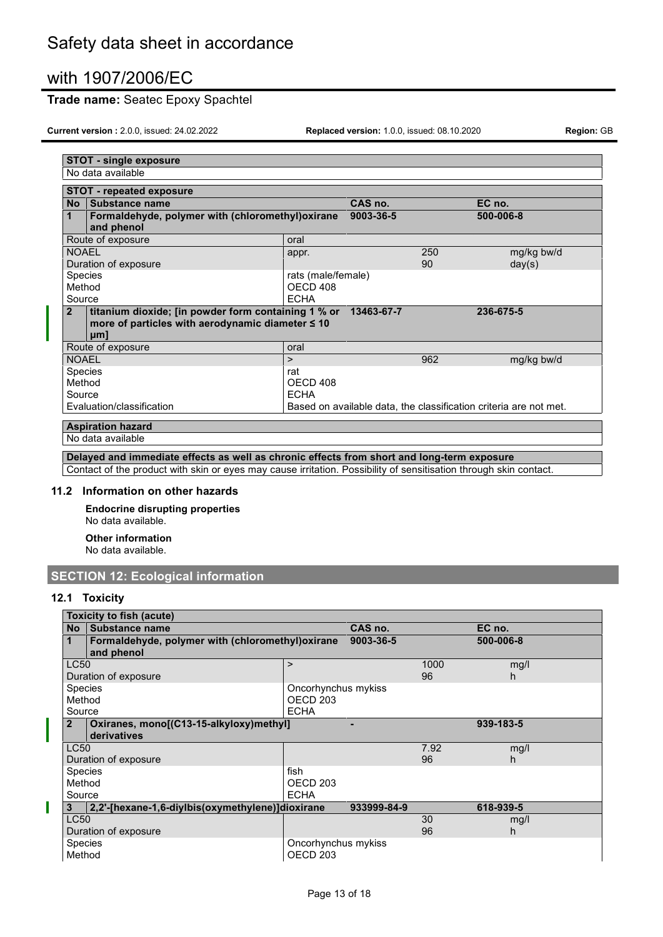### **Trade name:** Seatec Epoxy Spachtel

**Current version :** 2.0.0, issued: 24.02.2022 **Replaced version:** 1.0.0, issued: 08.10.2020 **Region:** GB

| <b>STOT - single exposure</b>                                                                                                       |                                               |            |                                                                   |  |  |
|-------------------------------------------------------------------------------------------------------------------------------------|-----------------------------------------------|------------|-------------------------------------------------------------------|--|--|
| No data available                                                                                                                   |                                               |            |                                                                   |  |  |
| <b>STOT - repeated exposure</b>                                                                                                     |                                               |            |                                                                   |  |  |
| Substance name<br>No.                                                                                                               |                                               | CAS no.    | EC no.                                                            |  |  |
| Formaldehyde, polymer with (chloromethyl) oxirane<br>1<br>and phenol                                                                |                                               | 9003-36-5  | 500-006-8                                                         |  |  |
| Route of exposure                                                                                                                   | oral                                          |            |                                                                   |  |  |
| <b>NOAEL</b><br>Duration of exposure                                                                                                | appr.                                         | 250<br>90  | mg/kg bw/d<br>day(s)                                              |  |  |
| <b>Species</b><br>Method<br>Source                                                                                                  | rats (male/female)<br>OECD 408<br><b>ECHA</b> |            |                                                                   |  |  |
| titanium dioxide; [in powder form containing 1 % or<br>$\overline{2}$<br>more of particles with aerodynamic diameter ≤ 10<br>$µm$ ] |                                               | 13463-67-7 | 236-675-5                                                         |  |  |
| Route of exposure                                                                                                                   | oral                                          |            |                                                                   |  |  |
| <b>NOAEL</b>                                                                                                                        | $\geq$                                        | 962        | mg/kg bw/d                                                        |  |  |
| Species<br>Method<br>Source                                                                                                         | rat<br>OECD 408<br><b>ECHA</b>                |            |                                                                   |  |  |
| Evaluation/classification                                                                                                           |                                               |            | Based on available data, the classification criteria are not met. |  |  |
| <b>Aspiration hazard</b>                                                                                                            |                                               |            |                                                                   |  |  |
| No data available                                                                                                                   |                                               |            |                                                                   |  |  |

**Delayed and immediate effects as well as chronic effects from short and long-term exposure** Contact of the product with skin or eyes may cause irritation. Possibility of sensitisation through skin contact.

#### **11.2 Information on other hazards**

**Endocrine disrupting properties** No data available.

**Other information** No data available.

# **SECTION 12: Ecological information**

### **12.1 Toxicity**

ı

|                | Toxicity to fish (acute)                          |                     |             |      |           |
|----------------|---------------------------------------------------|---------------------|-------------|------|-----------|
| <b>No</b>      | <b>Substance name</b>                             |                     | CAS no.     |      | EC no.    |
|                | Formaldehyde, polymer with (chloromethyl) oxirane |                     | 9003-36-5   |      | 500-006-8 |
|                | and phenol                                        |                     |             |      |           |
| LC50           |                                                   | >                   |             | 1000 | mg/l      |
|                | Duration of exposure                              |                     |             | 96   | h         |
| <b>Species</b> |                                                   | Oncorhynchus mykiss |             |      |           |
| Method         |                                                   | OECD <sub>203</sub> |             |      |           |
| Source         |                                                   | <b>ECHA</b>         |             |      |           |
| $\mathbf{2}$   | Oxiranes, mono[(C13-15-alkyloxy)methyl]           |                     |             |      | 939-183-5 |
|                | derivatives                                       |                     |             |      |           |
| LC50           |                                                   |                     |             | 7.92 | mg/l      |
|                | Duration of exposure                              |                     |             | 96   | h         |
| Species        |                                                   | fish                |             |      |           |
| Method         |                                                   | OECD <sub>203</sub> |             |      |           |
| Source         |                                                   | <b>ECHA</b>         |             |      |           |
| 3              | 2.2'-[hexane-1.6-divibis(oxymethylene)]dioxirane  |                     | 933999-84-9 |      | 618-939-5 |
| <b>LC50</b>    |                                                   |                     |             | 30   | mg/l      |
|                | Duration of exposure                              |                     |             | 96   | h         |
| Species        |                                                   | Oncorhynchus mykiss |             |      |           |
| Method         |                                                   | OECD <sub>203</sub> |             |      |           |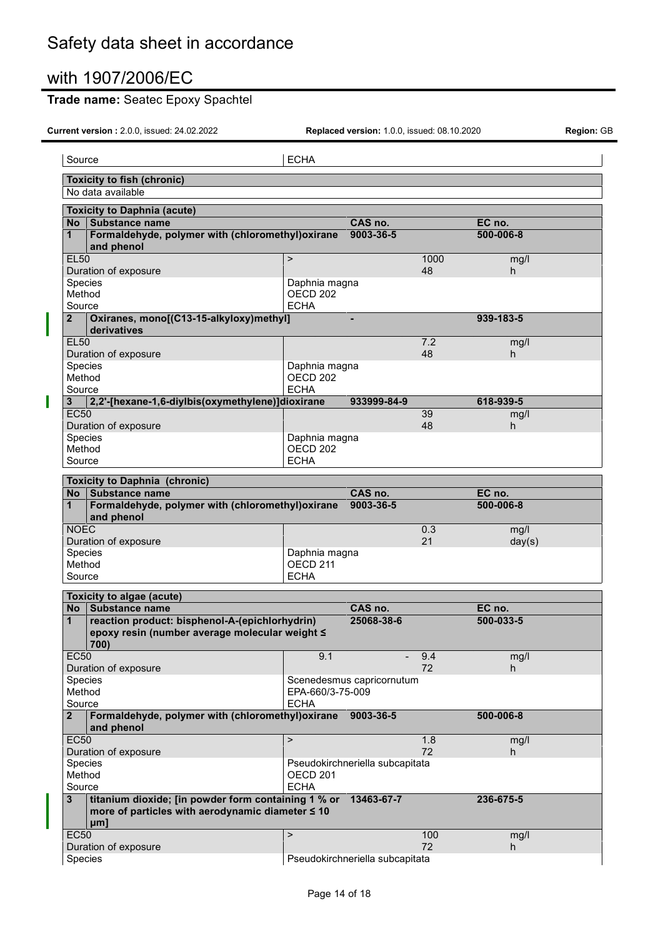П

# **Trade name:** Seatec Epoxy Spachtel

| Source                                                                                                        | <b>ECHA</b>                          |                                 |           |            |
|---------------------------------------------------------------------------------------------------------------|--------------------------------------|---------------------------------|-----------|------------|
| <b>Toxicity to fish (chronic)</b>                                                                             |                                      |                                 |           |            |
| No data available                                                                                             |                                      |                                 |           |            |
| <b>Toxicity to Daphnia (acute)</b>                                                                            |                                      |                                 |           |            |
| Substance name<br>No                                                                                          |                                      | CAS no.                         |           | EC no.     |
| Formaldehyde, polymer with (chloromethyl) oxirane<br>$\mathbf 1$<br>and phenol                                |                                      | 9003-36-5                       |           | 500-006-8  |
| <b>EL50</b>                                                                                                   | $\mathbf{r}$                         |                                 | 1000      | mg/l       |
| Duration of exposure                                                                                          |                                      |                                 | 48        | h.         |
| Species<br>Method                                                                                             | Daphnia magna<br>OECD <sub>202</sub> |                                 |           |            |
| Source                                                                                                        | <b>ECHA</b>                          |                                 |           |            |
| Oxiranes, mono[(C13-15-alkyloxy)methyl]<br>$\mathbf{2}$                                                       |                                      |                                 |           | 939-183-5  |
| derivatives                                                                                                   |                                      |                                 |           |            |
| <b>EL50</b>                                                                                                   |                                      |                                 | 7.2       | mg/l       |
| Duration of exposure                                                                                          |                                      |                                 | 48        | h.         |
| Species                                                                                                       | Daphnia magna                        |                                 |           |            |
| Method                                                                                                        | OECD <sub>202</sub>                  |                                 |           |            |
| Source<br>2,2'-[hexane-1,6-diylbis(oxymethylene)]dioxirane<br>3 <sup>1</sup>                                  | <b>ECHA</b>                          | 933999-84-9                     |           | 618-939-5  |
| <b>EC50</b>                                                                                                   |                                      |                                 | 39        | mg/l       |
| Duration of exposure                                                                                          |                                      |                                 | 48        | h.         |
| Species                                                                                                       | Daphnia magna                        |                                 |           |            |
| Method                                                                                                        | OECD <sub>202</sub>                  |                                 |           |            |
| Source                                                                                                        | <b>ECHA</b>                          |                                 |           |            |
| <b>Toxicity to Daphnia (chronic)</b>                                                                          |                                      |                                 |           |            |
| No Substance name                                                                                             |                                      | CAS no.                         |           | EC no.     |
| Formaldehyde, polymer with (chloromethyl) oxirane<br>1<br>and phenol                                          |                                      | 9003-36-5                       |           | 500-006-8  |
| <b>NOEC</b>                                                                                                   |                                      |                                 | 0.3       | mg/l       |
| Duration of exposure                                                                                          |                                      |                                 | 21        | day(s)     |
| Species                                                                                                       | Daphnia magna                        |                                 |           |            |
| Method<br>Source                                                                                              | OECD <sub>211</sub><br><b>ECHA</b>   |                                 |           |            |
|                                                                                                               |                                      |                                 |           |            |
| Toxicity to algae (acute)                                                                                     |                                      |                                 |           |            |
| No Substance name                                                                                             |                                      | CAS no.                         |           | EC no.     |
| reaction product: bisphenol-A-(epichlorhydrin)<br>1<br>epoxy resin (number average molecular weight ≤<br>700) |                                      | 25068-38-6                      |           | 500-033-5  |
| <b>EC50</b>                                                                                                   | 9.1                                  |                                 | 9.4       | mg/l       |
| Duration of exposure                                                                                          |                                      |                                 | 72        | h.         |
| Species                                                                                                       |                                      | Scenedesmus capricornutum       |           |            |
| Method                                                                                                        | EPA-660/3-75-009                     |                                 |           |            |
| Source                                                                                                        | <b>ECHA</b>                          |                                 |           |            |
| Formaldehyde, polymer with (chloromethyl)oxirane<br>2 <sup>2</sup><br>and phenol                              |                                      | 9003-36-5                       |           | 500-006-8  |
| <b>EC50</b>                                                                                                   | $\mathbf{r}$                         |                                 | 1.8       | mg/l       |
| Duration of exposure<br>Species                                                                               |                                      | Pseudokirchneriella subcapitata | 72        | h.         |
| Method                                                                                                        | OECD <sub>201</sub>                  |                                 |           |            |
| Source                                                                                                        | <b>ECHA</b>                          |                                 |           |            |
| titanium dioxide; [in powder form containing 1 % or 13463-67-7<br>$\mathbf{3}$                                |                                      |                                 |           | 236-675-5  |
| more of particles with aerodynamic diameter ≤ 10<br>µm]                                                       |                                      |                                 |           |            |
|                                                                                                               |                                      |                                 |           |            |
| <b>EC50</b><br>Duration of exposure                                                                           | $\mathbf{r}$                         |                                 | 100<br>72 | mg/l<br>h. |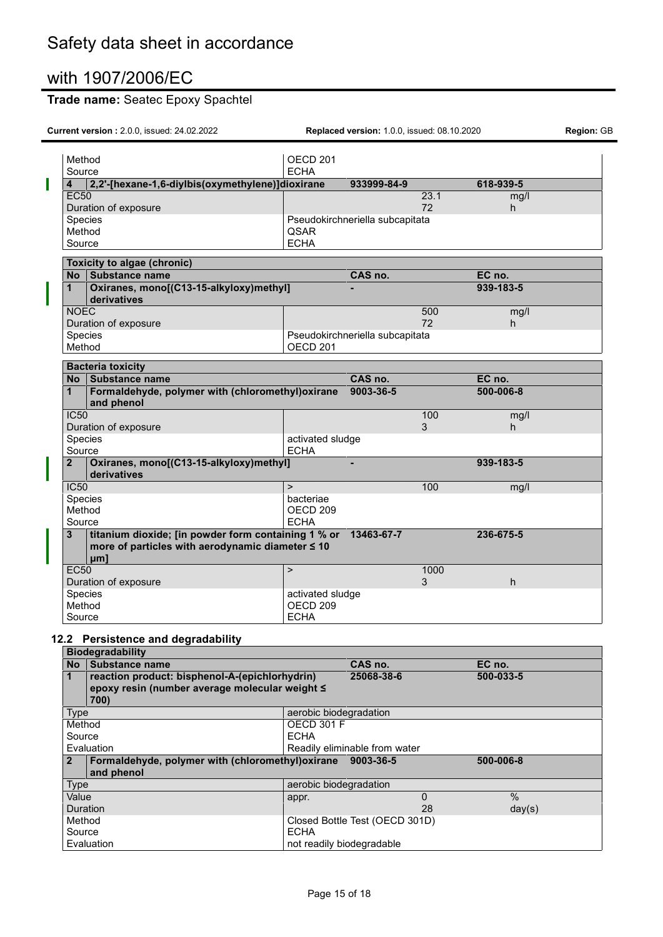# **Trade name:** Seatec Epoxy Spachtel

**Current version :** 2.0.0, issued: 24.02.2022 **Replaced version:** 1.0.0, issued: 08.10.2020 **Region:** GB

|   | Method       |                                                                                                                              | OECD <sub>201</sub> |                                 |            |           |            |
|---|--------------|------------------------------------------------------------------------------------------------------------------------------|---------------------|---------------------------------|------------|-----------|------------|
|   | Source       |                                                                                                                              | <b>ECHA</b>         |                                 |            |           |            |
| Π | 4            | 2,2'-[hexane-1,6-diylbis(oxymethylene)]dioxirane                                                                             |                     | 933999-84-9                     |            | 618-939-5 |            |
|   | <b>EC50</b>  | Duration of exposure                                                                                                         |                     |                                 | 23.1<br>72 |           | mg/l<br>h. |
|   | Species      |                                                                                                                              |                     | Pseudokirchneriella subcapitata |            |           |            |
|   | Method       |                                                                                                                              | <b>QSAR</b>         |                                 |            |           |            |
|   | Source       |                                                                                                                              | <b>ECHA</b>         |                                 |            |           |            |
|   |              | Toxicity to algae (chronic)                                                                                                  |                     |                                 |            |           |            |
|   |              | No Substance name                                                                                                            |                     | CAS no.                         |            | EC no.    |            |
|   | $\mathbf{1}$ | Oxiranes, mono[(C13-15-alkyloxy)methyl]<br>derivatives                                                                       |                     |                                 |            | 939-183-5 |            |
|   | <b>NOEC</b>  |                                                                                                                              |                     |                                 | 500        |           | mg/l       |
|   |              | Duration of exposure                                                                                                         |                     |                                 | 72         |           | h.         |
|   | Species      |                                                                                                                              |                     | Pseudokirchneriella subcapitata |            |           |            |
|   | Method       |                                                                                                                              | OECD <sub>201</sub> |                                 |            |           |            |
|   |              | <b>Bacteria toxicity</b>                                                                                                     |                     |                                 |            |           |            |
|   | No.          | Substance name                                                                                                               |                     | CAS no.                         |            | EC no.    |            |
|   | 1            | Formaldehyde, polymer with (chloromethyl)oxirane<br>and phenol                                                               |                     | 9003-36-5                       |            | 500-006-8 |            |
|   | IC50         |                                                                                                                              |                     |                                 | 100        |           | mg/l       |
|   |              | Duration of exposure                                                                                                         |                     |                                 | 3          | h.        |            |
|   | Species      |                                                                                                                              | activated sludge    |                                 |            |           |            |
|   | Source       |                                                                                                                              | <b>ECHA</b>         |                                 |            |           |            |
|   | $\mathbf{2}$ | Oxiranes, mono[(C13-15-alkyloxy)methyl]<br>derivatives                                                                       |                     |                                 |            | 939-183-5 |            |
|   | IC50         |                                                                                                                              | $\geq$              |                                 | 100        |           | mg/l       |
|   | Species      |                                                                                                                              | bacteriae           |                                 |            |           |            |
|   | Method       |                                                                                                                              | OECD <sub>209</sub> |                                 |            |           |            |
|   | Source       |                                                                                                                              | <b>ECHA</b>         |                                 |            |           |            |
|   | 3            | titanium dioxide; [in powder form containing 1 % or 13463-67-7<br>more of particles with aerodynamic diameter ≤ 10<br>$µm$ ] |                     |                                 |            | 236-675-5 |            |
|   | <b>EC50</b>  |                                                                                                                              | $\mathbf{I}$        |                                 | 1000       |           |            |
|   |              | Duration of exposure                                                                                                         |                     |                                 | 3          | h.        |            |
|   | Species      |                                                                                                                              | activated sludge    |                                 |            |           |            |
|   | Method       |                                                                                                                              | OECD <sub>209</sub> |                                 |            |           |            |
|   | Source       |                                                                                                                              | <b>ECHA</b>         |                                 |            |           |            |

# **12.2 Persistence and degradability**

|              | <b>Biodegradability</b>                           |                               |                                |           |
|--------------|---------------------------------------------------|-------------------------------|--------------------------------|-----------|
| <b>No</b>    | Substance name                                    |                               | CAS no.                        | EC no.    |
|              | reaction product: bisphenol-A-(epichlorhydrin)    |                               | 25068-38-6                     | 500-033-5 |
|              | epoxy resin (number average molecular weight ≤    |                               |                                |           |
|              | 700)                                              |                               |                                |           |
| <b>Type</b>  |                                                   | aerobic biodegradation        |                                |           |
| Method       |                                                   | <b>OECD 301 F</b>             |                                |           |
| Source       |                                                   | <b>ECHA</b>                   |                                |           |
|              | Evaluation                                        | Readily eliminable from water |                                |           |
| $\mathbf{2}$ | Formaldehyde, polymer with (chloromethyl) oxirane |                               | 9003-36-5                      | 500-006-8 |
|              | and phenol                                        |                               |                                |           |
| <b>Type</b>  |                                                   | aerobic biodegradation        |                                |           |
| Value        |                                                   | appr.                         | 0                              | $\%$      |
|              | Duration                                          |                               | 28                             | day(s)    |
| Method       |                                                   |                               | Closed Bottle Test (OECD 301D) |           |
| Source       |                                                   | <b>ECHA</b>                   |                                |           |
|              | Evaluation                                        | not readily biodegradable     |                                |           |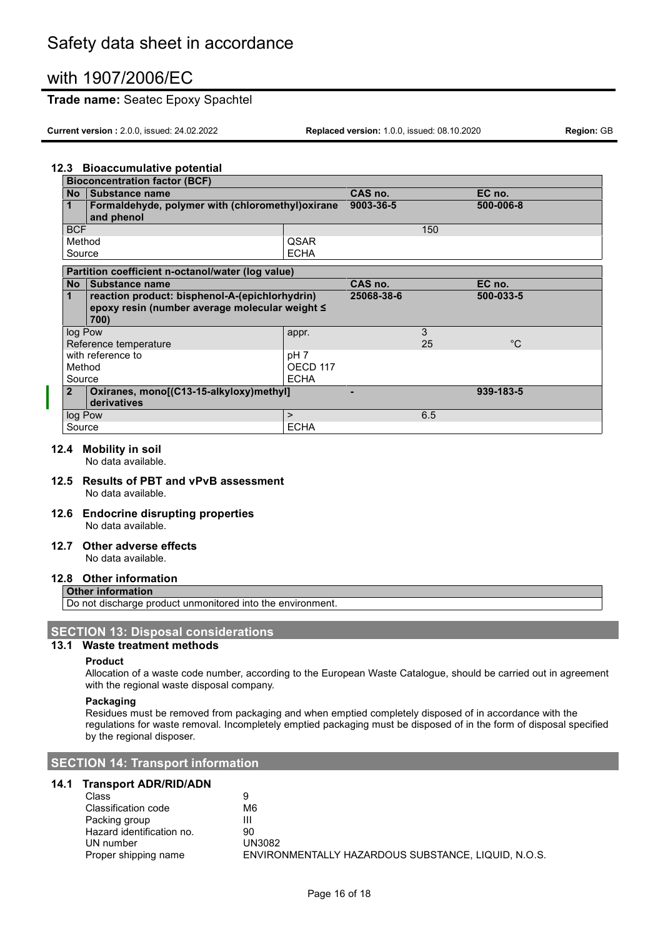### **Trade name:** Seatec Epoxy Spachtel

**Current version :** 2.0.0, issued: 24.02.2022 **Replaced version:** 1.0.0, issued: 08.10.2020 **Region:** GB

### **12.3 Bioaccumulative potential**

| <b>Bioconcentration factor (BCF)</b> |                                                                 |                 |            |     |             |
|--------------------------------------|-----------------------------------------------------------------|-----------------|------------|-----|-------------|
| <b>No</b>                            | <b>Substance name</b>                                           |                 | CAS no.    |     | EC no.      |
| 1                                    | Formaldehyde, polymer with (chloromethyl) oxirane<br>and phenol |                 | 9003-36-5  |     | 500-006-8   |
| <b>BCF</b>                           |                                                                 |                 |            | 150 |             |
| Method                               |                                                                 | <b>QSAR</b>     |            |     |             |
| Source                               |                                                                 | <b>ECHA</b>     |            |     |             |
|                                      | Partition coefficient n-octanol/water (log value)               |                 |            |     |             |
| <b>No</b>                            | <b>Substance name</b>                                           |                 | CAS no.    |     | EC no.      |
| 1                                    | reaction product: bisphenol-A-(epichlorhydrin)                  |                 | 25068-38-6 |     | 500-033-5   |
|                                      | epoxy resin (number average molecular weight ≤                  |                 |            |     |             |
|                                      | 700)                                                            |                 |            |     |             |
| log Pow                              |                                                                 | appr.           |            | 3   |             |
|                                      | Reference temperature                                           |                 |            | 25  | $^{\circ}C$ |
|                                      | with reference to                                               | pH <sub>7</sub> |            |     |             |
| Method                               |                                                                 | OECD 117        |            |     |             |
| Source                               |                                                                 | <b>ECHA</b>     |            |     |             |
| 2 <sup>1</sup>                       | Oxiranes, mono[(C13-15-alkyloxy)methyl]<br>derivatives          |                 |            |     | 939-183-5   |
| log Pow                              |                                                                 | $\geq$          |            | 6.5 |             |
| Source                               |                                                                 | <b>ECHA</b>     |            |     |             |

#### **12.4 Mobility in soil**

No data available.

- **12.5 Results of PBT and vPvB assessment** No data available.
- **12.6 Endocrine disrupting properties** No data available.

# **12.7 Other adverse effects**

No data available.

### **12.8 Other information**

#### **Other information**

Do not discharge product unmonitored into the environment.

#### **SECTION 13: Disposal considerations**

#### **13.1 Waste treatment methods**

#### **Product**

Allocation of a waste code number, according to the European Waste Catalogue, should be carried out in agreement with the regional waste disposal company.

#### **Packaging**

Residues must be removed from packaging and when emptied completely disposed of in accordance with the regulations for waste removal. Incompletely emptied packaging must be disposed of in the form of disposal specified by the regional disposer.

#### **SECTION 14: Transport information**

### **14.1 Transport ADR/RID/ADN**

| Class                     | 9                                                   |
|---------------------------|-----------------------------------------------------|
| Classification code       | M6                                                  |
| Packing group             | Ш                                                   |
| Hazard identification no. | 90                                                  |
| UN number                 | UN3082                                              |
| Proper shipping name      | ENVIRONMENTALLY HAZARDOUS SUBSTANCE, LIQUID, N.O.S. |
|                           |                                                     |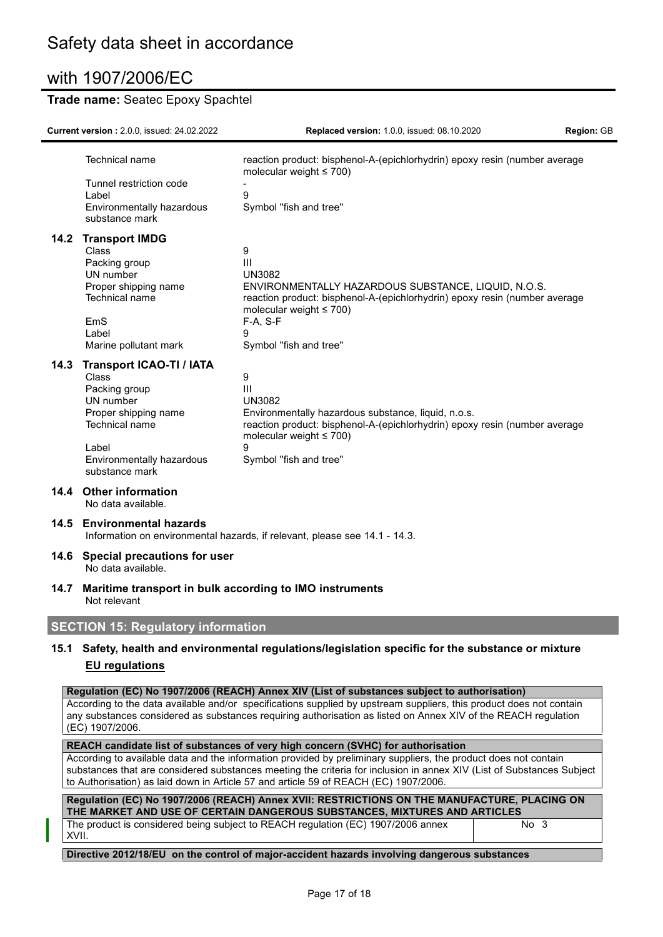## **Trade name:** Seatec Epoxy Spachtel

|                                                                                                                              | Current version: 2.0.0, issued: 24.02.2022                                                                                                                               | Replaced version: 1.0.0, issued: 08.10.2020                                                                                                                                                                                                                                                                                                                                                                               | Region: GB |  |
|------------------------------------------------------------------------------------------------------------------------------|--------------------------------------------------------------------------------------------------------------------------------------------------------------------------|---------------------------------------------------------------------------------------------------------------------------------------------------------------------------------------------------------------------------------------------------------------------------------------------------------------------------------------------------------------------------------------------------------------------------|------------|--|
|                                                                                                                              | <b>Technical name</b><br>Tunnel restriction code<br>Label<br>Environmentally hazardous<br>substance mark                                                                 | reaction product: bisphenol-A-(epichlorhydrin) epoxy resin (number average<br>molecular weight $\leq 700$ )<br>9<br>Symbol "fish and tree"                                                                                                                                                                                                                                                                                |            |  |
|                                                                                                                              | 14.2 Transport IMDG<br>Class<br>Packing group<br>UN number<br>Proper shipping name<br>Technical name<br>EmS<br>Label<br>Marine pollutant mark                            | 9<br>Ш<br><b>UN3082</b><br>ENVIRONMENTALLY HAZARDOUS SUBSTANCE, LIQUID, N.O.S.<br>reaction product: bisphenol-A-(epichlorhydrin) epoxy resin (number average<br>molecular weight $\leq 700$ )<br>F-A, S-F<br>9<br>Symbol "fish and tree"                                                                                                                                                                                  |            |  |
| 14.3                                                                                                                         | <b>Transport ICAO-TI / IATA</b><br>Class<br>Packing group<br>UN number<br>Proper shipping name<br>Technical name<br>Label<br>Environmentally hazardous<br>substance mark | 9<br>III<br><b>UN3082</b><br>Environmentally hazardous substance, liquid, n.o.s.<br>reaction product: bisphenol-A-(epichlorhydrin) epoxy resin (number average<br>molecular weight $\leq 700$ )<br>Symbol "fish and tree"                                                                                                                                                                                                 |            |  |
|                                                                                                                              | 14.4 Other information<br>No data available.                                                                                                                             |                                                                                                                                                                                                                                                                                                                                                                                                                           |            |  |
| 14.5                                                                                                                         | <b>Environmental hazards</b><br>Information on environmental hazards, if relevant, please see 14.1 - 14.3.                                                               |                                                                                                                                                                                                                                                                                                                                                                                                                           |            |  |
|                                                                                                                              | 14.6 Special precautions for user<br>No data available.                                                                                                                  |                                                                                                                                                                                                                                                                                                                                                                                                                           |            |  |
| 14.7                                                                                                                         | Maritime transport in bulk according to IMO instruments<br>Not relevant                                                                                                  |                                                                                                                                                                                                                                                                                                                                                                                                                           |            |  |
|                                                                                                                              | <b>SECTION 15: Regulatory information</b>                                                                                                                                |                                                                                                                                                                                                                                                                                                                                                                                                                           |            |  |
| 15.1 Safety, health and environmental regulations/legislation specific for the substance or mixture<br><b>EU</b> regulations |                                                                                                                                                                          |                                                                                                                                                                                                                                                                                                                                                                                                                           |            |  |
|                                                                                                                              | (EC) 1907/2006.                                                                                                                                                          | Regulation (EC) No 1907/2006 (REACH) Annex XIV (List of substances subject to authorisation)<br>According to the data available and/or specifications supplied by upstream suppliers, this product does not contain<br>any substances considered as substances requiring authorisation as listed on Annex XIV of the REACH regulation<br>REACH candidate list of substances of very high concern (SVHC) for authorisation |            |  |

According to available data and the information provided by preliminary suppliers, the product does not contain substances that are considered substances meeting the criteria for inclusion in annex XIV (List of Substances Subject to Authorisation) as laid down in Article 57 and article 59 of REACH (EC) 1907/2006.

| Regulation (EC) No 1907/2006 (REACH) Annex XVII: RESTRICTIONS ON THE MANUFACTURE, PLACING ON<br>THE MARKET AND USE OF CERTAIN DANGEROUS SUBSTANCES, MIXTURES AND ARTICLES |                 |  |  |  |
|---------------------------------------------------------------------------------------------------------------------------------------------------------------------------|-----------------|--|--|--|
| The product is considered being subject to REACH regulation (EC) 1907/2006 annex<br>XVII.                                                                                 | No <sub>3</sub> |  |  |  |

**Directive 2012/18/EU on the control of major-accident hazards involving dangerous substances**